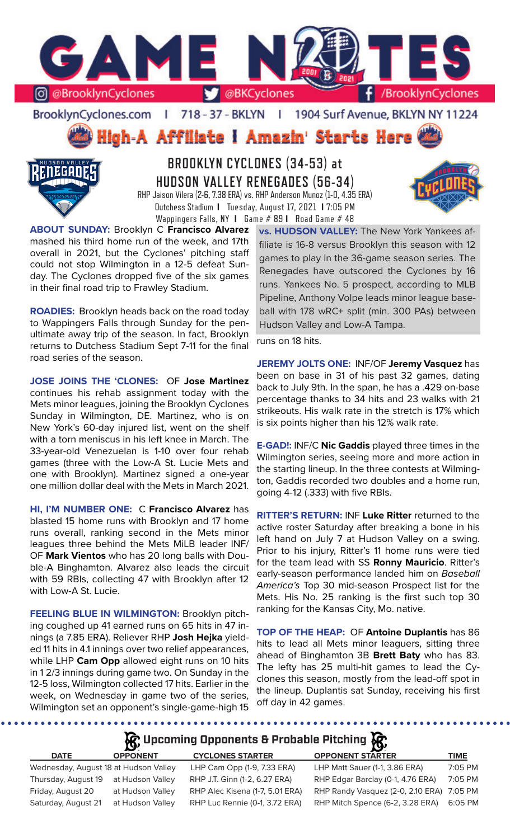

BrooklynCyclones.com | 718 - 37 - BKLYN | 1904 Surf Avenue, BKLYN NY 11224

High-A Affiliate I Amazin' Starts Here



**BROOKLYN CYCLONES (34-53) at HUDSON VALLEY RENEGADES (56-34)** RHP Jaison Vilera (2-6, 7.38 ERA) vs. RHP Anderson Munoz (1-0, 4.35 ERA) Dutchess Stadium **I** Tuesday, August 17, 2021 **I** 7:05 PM Wappingers Falls, NY **I** Game # 89 **I** Road Game # 48

**ABOUT SUNDAY:** Brooklyn C **Francisco Alvarez**  mashed his third home run of the week, and 17th overall in 2021, but the Cyclones' pitching staff could not stop Wilmington in a 12-5 defeat Sunday. The Cyclones dropped five of the six games in their final road trip to Frawley Stadium.

**ROADIES:** Brooklyn heads back on the road today to Wappingers Falls through Sunday for the penultimate away trip of the season. In fact, Brooklyn returns to Dutchess Stadium Sept 7-11 for the final road series of the season.

**JOSE JOINS THE 'CLONES:** OF **Jose Martinez**  continues his rehab assignment today with the Mets minor leagues, joining the Brooklyn Cyclones Sunday in Wilmington, DE. Martinez, who is on New York's 60-day injured list, went on the shelf with a torn meniscus in his left knee in March. The 33-year-old Venezuelan is 1-10 over four rehab games (three with the Low-A St. Lucie Mets and one with Brooklyn). Martinez signed a one-year one million dollar deal with the Mets in March 2021.

**HI, I'M NUMBER ONE:** C **Francisco Alvarez** has blasted 15 home runs with Brooklyn and 17 home runs overall, ranking second in the Mets minor leagues three behind the Mets MiLB leader INF/ OF **Mark Vientos** who has 20 long balls with Double-A Binghamton. Alvarez also leads the circuit with 59 RBIs, collecting 47 with Brooklyn after 12 with Low-A St. Lucie.

**FEELING BLUE IN WILMINGTON: Brooklyn pitch**ing coughed up 41 earned runs on 65 hits in 47 innings (a 7.85 ERA). Reliever RHP **Josh Hejka** yielded 11 hits in 4.1 innings over two relief appearances, while LHP **Cam Opp** allowed eight runs on 10 hits in 1 2/3 innings during game two. On Sunday in the 12-5 loss, Wilmington collected 17 hits. Earlier in the week, on Wednesday in game two of the series, Wilmington set an opponent's single-game-high 15

........

**vs. HUDSON VALLEY:** The New York Yankees affiliate is 16-8 versus Brooklyn this season with 12 games to play in the 36-game season series. The Renegades have outscored the Cyclones by 16 runs. Yankees No. 5 prospect, according to MLB Pipeline, Anthony Volpe leads minor league baseball with 178 wRC+ split (min. 300 PAs) between Hudson Valley and Low-A Tampa.

runs on 18 hits.

**JEREMY JOLTS ONE:** INF/OF **Jeremy Vasquez** has been on base in 31 of his past 32 games, dating back to July 9th. In the span, he has a .429 on-base percentage thanks to 34 hits and 23 walks with 21 strikeouts. His walk rate in the stretch is 17% which is six points higher than his 12% walk rate.

**E-GAD!:** INF/C **Nic Gaddis** played three times in the Wilmington series, seeing more and more action in the starting lineup. In the three contests at Wilmington, Gaddis recorded two doubles and a home run, going 4-12 (.333) with five RBIs.

**RITTER'S RETURN:** INF **Luke Ritter** returned to the active roster Saturday after breaking a bone in his left hand on July 7 at Hudson Valley on a swing. Prior to his injury, Ritter's 11 home runs were tied for the team lead with SS **Ronny Mauricio**. Ritter's early-season performance landed him on *Baseball America's* Top 30 mid-season Prospect list for the Mets. His No. 25 ranking is the first such top 30 ranking for the Kansas City, Mo. native.

**TOP OF THE HEAP:** OF **Antoine Duplantis** has 86 hits to lead all Mets minor leaguers, sitting three ahead of Binghamton 3B **Brett Baty** who has 83. The lefty has 25 multi-hit games to lead the Cyclones this season, mostly from the lead-off spot in the lineup. Duplantis sat Sunday, receiving his first off day in 42 games.

**Upcoming Opponents & Probable Pitching**

|                                       | $\sim$           |                                 |                                           |             |
|---------------------------------------|------------------|---------------------------------|-------------------------------------------|-------------|
| <b>DATE</b>                           | <b>OPPONENT</b>  | <b>CYCLONES STARTER</b>         | <b>OPPONENT STARTER</b>                   | <b>TIME</b> |
| Wednesday, August 18 at Hudson Valley |                  | LHP Cam Opp (1-9, 7.33 ERA)     | LHP Matt Sauer (1-1, 3.86 ERA)            | 7:05 PM     |
| Thursday, August 19                   | at Hudson Vallev | RHP J.T. Ginn (1-2, 6.27 ERA)   | RHP Edgar Barclay (0-1, 4.76 ERA)         | 7:05 PM     |
| Friday, August 20                     | at Hudson Valley | RHP Alec Kisena (1-7, 5.01 ERA) | RHP Randy Vasquez (2-0, 2.10 ERA) 7:05 PM |             |
| Saturday, August 21                   | at Hudson Valley | RHP Luc Rennie (0-1, 3.72 ERA)  | RHP Mitch Spence (6-2, 3.28 ERA)          | 6:05 PM     |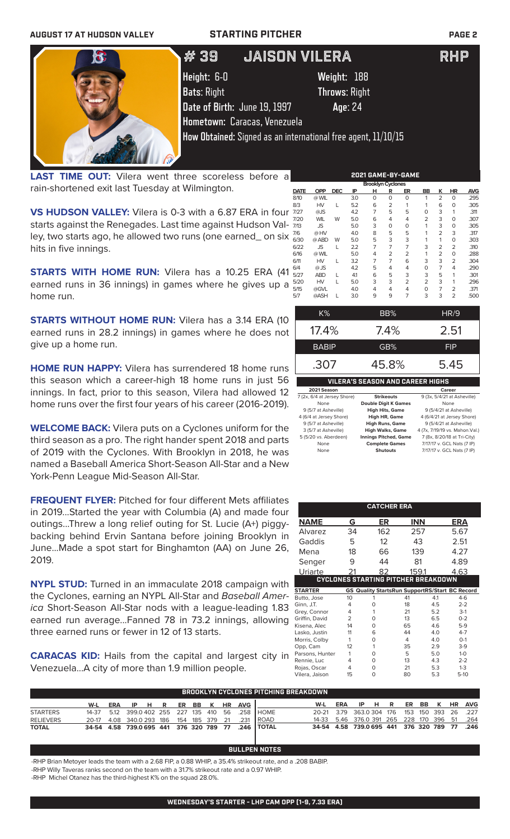

**LAST TIME OUT:** Vilera went three scoreless before a rain-shortened exit last Tuesday at Wilmington.

**VS HUDSON VALLEY:** Vilera is 0-3 with a 6.87 ERA in four starts against the Renegades. Last time against Hudson Valley, two starts ago, he allowed two runs (one earned\_ on six hits in five innings.

**STARTS WITH HOME RUN:** Vilera has a 10.25 ERA (41) earned runs in 36 innings) in games where he gives up a home run.

**STARTS WITHOUT HOME RUN:** Vilera has a 3.14 ERA (10 earned runs in 28.2 innings) in games where he does not give up a home run.

**HOME RUN HAPPY:** Vilera has surrendered 18 home runs this season which a career-high 18 home runs in just 56 innings. In fact, prior to this season, Vilera had allowed 12 home runs over the first four years of his career (2016-2019).

**WELCOME BACK:** Vilera puts on a Cyclones uniform for the third season as a pro. The right hander spent 2018 and parts of 2019 with the Cyclones. With Brooklyn in 2018, he was named a Baseball America Short-Season All-Star and a New York-Penn League Mid-Season All-Star.

**FREQUENT FLYER:** Pitched for four different Mets affiliates in 2019...Started the year with Columbia (A) and made four outings...Threw a long relief outing for St. Lucie (A+) piggybacking behind Ervin Santana before joining Brooklyn in June...Made a spot start for Binghamton (AA) on June 26, 2019.

**NYPL STUD:** Turned in an immaculate 2018 campaign with the Cyclones, earning an NYPL All-Star and *Baseball America* Short-Season All-Star nods with a league-leading 1.83 earned run average...Fanned 78 in 73.2 innings, allowing three earned runs or fewer in 12 of 13 starts.

**CARACAS KID:** Hails from the capital and largest city in Venezuela...A city of more than 1.9 million people.

| 2021 GAME-BY-GAME        |            |            |     |          |          |                |                |                |                |            |  |  |
|--------------------------|------------|------------|-----|----------|----------|----------------|----------------|----------------|----------------|------------|--|--|
| <b>Brooklyn Cyclones</b> |            |            |     |          |          |                |                |                |                |            |  |  |
| <b>DATE</b>              | <b>OPP</b> | <b>DEC</b> | ΙP  | н        | R        | ER             | BB             | ĸ              | <b>HR</b>      | <b>AVG</b> |  |  |
| 8/10                     | @ WIL      |            | 3.0 | $\Omega$ | O        | $\Omega$       |                | $\overline{2}$ | 0              | .295       |  |  |
| 8/3                      | HV         | L          | 5.2 | 6        | 2        | 1              |                | 6              | 0              | .305       |  |  |
| 7/27                     | @JS        |            | 4.2 | 7        | 5        | 5              | 0              | 3              | 1              | .311       |  |  |
| 7/20                     | <b>WIL</b> | W          | 5.0 | 6        | 4        | 4              | $\overline{2}$ | 3              | 0              | .307       |  |  |
| 7/13                     | JS         |            | 5.0 | 3        | $\Omega$ | 0              |                | 3              | 0              | .305       |  |  |
| 7/6                      | @ HV       |            | 4.0 | 8        | 5        | 5              |                | $\overline{2}$ | 3              | .317       |  |  |
| 6/30                     | @ ABD      | W          | 5.0 | 5        | 3        | 3              |                | 1              | 0              | .303       |  |  |
| 6/22                     | JS         |            | 2.2 | 7        | 7        | 7              | 3              | 2              | $\overline{2}$ | .310       |  |  |
| 6/16                     | @ WIL      |            | 5.0 | 4        | 2        | $\overline{2}$ |                | 2              | 0              | .288       |  |  |
| 6/11                     | <b>HV</b>  | L          | 3.2 | 7        | 7        | 6              | 3              | 3              | $\overline{2}$ | .304       |  |  |
| 6/4                      | $@$ JS     |            | 4.2 | 5        | 4        | 4              | 0              | 7              | 4              | .290       |  |  |
| 5/27                     | <b>ABD</b> |            | 4.1 | 6        | 5        | 3              | 3              | 5              | 1              | .301       |  |  |
| 5/20                     | HV         | L          | 5.0 | 3        | 3        | 2              | 2              | 3              | 1              | .296       |  |  |
| 5/15                     | @GVL       |            | 4.0 | 4        | 4        | 4              | $\Omega$       | 7              | $\overline{2}$ | .371       |  |  |
| 5/7                      | @ASH       |            | 3.0 | 9        | 9        | 7              | 3              | 3              | $\overline{2}$ | .500       |  |  |

| K%                               | BB%  | HR/9       |  |  |  |  |  |  |
|----------------------------------|------|------------|--|--|--|--|--|--|
| $17.4\%$                         | 7.4% | 2.51       |  |  |  |  |  |  |
| <b>BABIP</b>                     | GB%  | <b>FIP</b> |  |  |  |  |  |  |
| .307<br>5.45<br>45.8%            |      |            |  |  |  |  |  |  |
| VILERA'S SEASON AND CAREER HIGHS |      |            |  |  |  |  |  |  |

| 2021 Season                 |                              | Career                          |
|-----------------------------|------------------------------|---------------------------------|
| 7 (2x, 6/4 at Jersey Shore) | <b>Strikeouts</b>            | 9 (3x, 5/4/21 at Asheville)     |
| None                        | <b>Double Digit K Games</b>  | None                            |
| 9 (5/7 at Asheville)        | <b>High Hits, Game</b>       | 9 (5/4/21 at Asheville)         |
| 4 (6/4 at Jersey Shore)     | High HR, Game                | 4 (6/4/21 at Jersey Shore)      |
| 9 (5/7 at Asheville)        | <b>High Runs, Game</b>       | 9 (5/4/21 at Asheville)         |
| 3 (5/7 at Asheville)        | <b>High Walks, Game</b>      | 4 (7x, 7/19/19 vs. Mahon. Val.) |
| 5 (5/20 vs. Aberdeen)       | <b>Innings Pitched, Game</b> | 7 (8x, 8/20/18 at Tri-City)     |
| None                        | <b>Complete Games</b>        | 7/17/17 v. GCL Nats (7 IP)      |
| None                        | <b>Shutouts</b>              | 7/17/17 v. GCL Nats (7 IP)      |

|                 |                | <b>CATCHER ERA</b>                         |            |     |                                                       |
|-----------------|----------------|--------------------------------------------|------------|-----|-------------------------------------------------------|
| <b>NAME</b>     | G              | ER                                         | <b>INN</b> |     | ERA                                                   |
| Alvarez         | 34             | 162                                        | 257        |     | 5.67                                                  |
| Gaddis          | 5              | 12                                         | 43         |     | 2.51                                                  |
| Mena            | 18             | 66                                         | 139        |     | 4.27                                                  |
| Senger          | 9              | 44                                         | 81         |     | 4.89                                                  |
| Uriarte         |                | 82                                         | 159.1      |     | 4.63                                                  |
|                 |                | <b>CYCLONES STARTING PITCHER BREAKDOWN</b> |            |     |                                                       |
| <b>STARTER</b>  |                |                                            |            |     | <b>GS Quality StartsRun SupportRS/Start BC Record</b> |
| Butto, Jose     | 10             |                                            | 41         | 4.1 | $4-6$                                                 |
| Ginn, J.T.      | 4              | $\Omega$                                   | 18         | 4.5 | $2 - 2$                                               |
| Grey, Connor    | 4              | 1                                          | 21         | 5.2 | $3-1$                                                 |
| Griffin, David  | $\overline{2}$ | O                                          | 13         | 65  | $0 - 2$                                               |
| Kisena, Alec    | 14             | O                                          | 65         | 4.6 | $5-9$                                                 |
| Lasko, Justin   | 11             | 6                                          | 44         | 4.0 | $4 - 7$                                               |
| Morris, Colby   | 1              | O                                          | 4          | 4 O | $O-1$                                                 |
| Opp, Cam        | 12             | 1                                          | 35         | 2.9 | $3-9$                                                 |
| Parsons, Hunter | 1              | O                                          | 5          | 5.0 | $1 - 0$                                               |
| Rennie, Luc     | 4              | O                                          | 13         | 4.3 | $2 - 2$                                               |
| Rojas, Oscar    | 4              | 0                                          | 21         | 5.3 | $1-3$                                                 |
| Vilera, Jaison  | 15             | 0                                          | 80         | 5.3 | $5-10$                                                |

|                  | BROOKLYN CYCLONES PITCHING BREAKDOWN         |     |  |             |  |  |  |  |  |                |                                                   |                                              |     |      |  |  |  |                |
|------------------|----------------------------------------------|-----|--|-------------|--|--|--|--|--|----------------|---------------------------------------------------|----------------------------------------------|-----|------|--|--|--|----------------|
|                  | W-L                                          | ERA |  | <b>IPHR</b> |  |  |  |  |  | ER BB K HR AVG |                                                   | W-L                                          | ERA | IPHR |  |  |  | ER BB K HR AVG |
| <b>STARTERS</b>  |                                              |     |  |             |  |  |  |  |  |                | 14-37 5.12 399.0 402 255 227 135 410 56 258 HOME  | 20-21 3.79 363.0304 176 153 150 393 26 227   |     |      |  |  |  |                |
| <b>RELIEVERS</b> | 20-17 4.08 340.0 293 186 154 185 379 21 .231 |     |  |             |  |  |  |  |  |                | <b>IROAD</b>                                      | 14-33 5.46 376.0 391 265 228 170 396 51 .264 |     |      |  |  |  |                |
| <b>TOTAL</b>     |                                              |     |  |             |  |  |  |  |  |                | 34-54 4.58 739.0695 441 376 320 789 77 .246 TOTAL | 34-54 4.58 739.0695 441 376 320 789 77 .246  |     |      |  |  |  |                |

**BULLPEN NOTES**

### -RHP Brian Metoyer leads the team with a 2.68 FIP, a 0.88 WHIP, a 35.4% strikeout rate, and a .208 BABIP. -RHP Willy Taveras ranks second on the team with a 31.7% strikeout rate and a 0.97 WHIP.

-RHP Michel Otanez has the third-highest K% on the squad 28.0%.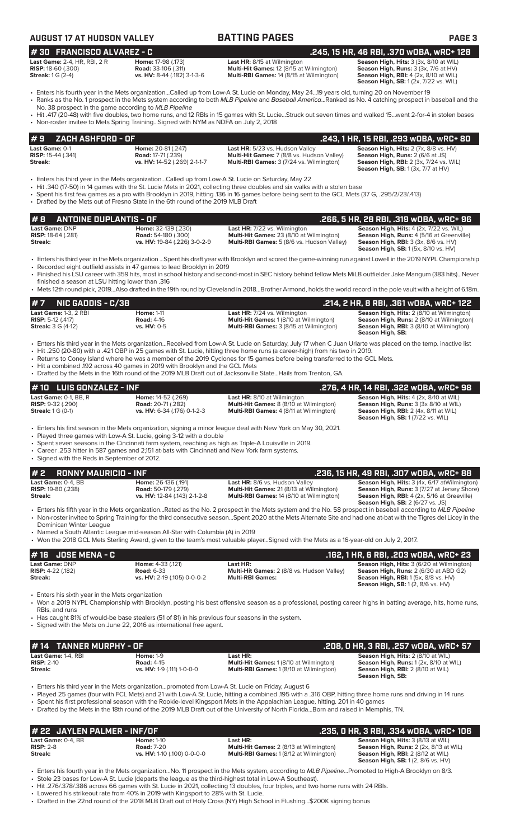| <b>AUGUST 17 AT HUDSON VALLEY</b>                                                                                                                                                                                                               |                                                                                   | <b>BATTING PAGES</b>                                                                                                                                                                                                                                                                                                                                                                                                                                                                                                                           | PAGE <sub>3</sub>                                                                                                                                                                      |
|-------------------------------------------------------------------------------------------------------------------------------------------------------------------------------------------------------------------------------------------------|-----------------------------------------------------------------------------------|------------------------------------------------------------------------------------------------------------------------------------------------------------------------------------------------------------------------------------------------------------------------------------------------------------------------------------------------------------------------------------------------------------------------------------------------------------------------------------------------------------------------------------------------|----------------------------------------------------------------------------------------------------------------------------------------------------------------------------------------|
| #30 FRANCISCO ALVAREZ - C                                                                                                                                                                                                                       |                                                                                   |                                                                                                                                                                                                                                                                                                                                                                                                                                                                                                                                                | .245, 15 HR, 46 RBI, .370 wOBA, wRC+ 128                                                                                                                                               |
| Last Game: 2-4, HR, RBI, 2 R<br><b>RISP:</b> 18-60 (.300)<br><b>Streak:</b> 1 G (2-4)                                                                                                                                                           | Home: 17-98 (.173)<br><b>Road:</b> 33-106 (.311)<br>vs. HV: 8-44 (.182) 3-1-3-6   | <b>Last HR:</b> 8/15 at Wilmington<br>Multi-Hit Games: 12 (8/15 at Wilmington)<br>Multi-RBI Games: 14 (8/15 at Wilmington)                                                                                                                                                                                                                                                                                                                                                                                                                     | Season High, Hits: 3 (3x, 8/10 at WIL)<br>Season High, Runs: 3 (3x, 7/6 at HV)<br><b>Season High, RBI: 4 (2x, 8/10 at WIL)</b><br><b>Season High, SB:</b> 1 (2x, 7/22 vs. WIL)         |
| No. 38 prospect in the game according to MLB Pipeline<br>• Non-roster invitee to Mets Spring TrainingSigned with NYM as NDFA on July 2, 2018                                                                                                    |                                                                                   | • Enters his fourth year in the Mets organizationCalled up from Low-A St. Lucie on Monday, May 2419 years old, turning 20 on November 19<br>• Ranks as the No. 1 prospect in the Mets system according to both MLB Pipeline and Baseball AmericaRanked as No. 4 catching prospect in baseball and the<br>• Hit .417 (20-48) with five doubles, two home runs, and 12 RBIs in 15 games with St. LucieStruck out seven times and walked 15went 2-for-4 in stolen bases                                                                           |                                                                                                                                                                                        |
| #9<br>ZACH ASHFORD - OF                                                                                                                                                                                                                         |                                                                                   |                                                                                                                                                                                                                                                                                                                                                                                                                                                                                                                                                | .243, 1 HR, 15 RBI, .293 wOBA, wRC+ 80                                                                                                                                                 |
| Last Game: 0-1<br>RISP: 15-44 (.341)<br>Streak:                                                                                                                                                                                                 | Home: 20-81 (.247)<br><b>Road:</b> 17-71 (.239)<br>vs. HV: 14-52 (.269) 2-1-1-7   | Last HR: 5/23 vs. Hudson Valley<br>Multi-Hit Games: 7 (8/8 vs. Hudson Valley)<br>Multi-RBI Games: 3 (7/24 vs. Wilmington)                                                                                                                                                                                                                                                                                                                                                                                                                      | Season High, Hits: 2 (7x, 8/8 vs. HV)<br>Season High, Runs: 2 (6/6 at JS)<br><b>Season High, RBI: 2 (3x, 7/24 vs. WIL)</b><br><b>Season High, SB:</b> 1 (3x, 7/7 at HV)                |
| • Drafted by the Mets out of Fresno State in the 6th round of the 2019 MLB Draft                                                                                                                                                                |                                                                                   | Enters his third year in the Mets organizationCalled up from Low-A St. Lucie on Saturday, May 22<br>• Hit .340 (17-50) in 14 games with the St. Lucie Mets in 2021, collecting three doubles and six walks with a stolen base<br>• Spent his first few games as a pro with Brooklyn in 2019, hitting .136 in 16 games before being sent to the GCL Mets (37 G, .295/2/23/.413)                                                                                                                                                                 |                                                                                                                                                                                        |
| <b>ANTOINE DUPLANTIS - OF</b><br>#8                                                                                                                                                                                                             |                                                                                   |                                                                                                                                                                                                                                                                                                                                                                                                                                                                                                                                                | .266, 5 HR, 28 RBI, .319 wOBA, wRC+ 96                                                                                                                                                 |
| Last Game: DNP<br>RISP: 18-64 (.281)<br>Streak:                                                                                                                                                                                                 | Home: 32-139 (.230)<br><b>Road:</b> 54-180 (.300)<br>vs. HV: 19-84 (.226) 3-0-2-9 | Last HR: 7/22 vs. Wilmington<br>Multi-Hit Games: 23 (8/10 at Wilmington)<br>Multi-RBI Games: 5 (8/6 vs. Hudson Valley)                                                                                                                                                                                                                                                                                                                                                                                                                         | Season High, Hits: 4 (2x, 7/22 vs. WIL)<br>Season High, Runs: 4 (5/16 at Greenville)<br><b>Season High, RBI:</b> 3 (3x, 8/6 vs. HV)<br><b>Season High, SB:</b> 1 (5x, 8/10 vs. HV)     |
| • Recorded eight outfield assists in 47 games to lead Brooklyn in 2019<br>finished a season at LSU hitting lower than .316                                                                                                                      |                                                                                   | • Enters his third year in the Mets organization Spent his draft year with Brooklyn and scored the game-winning run against Lowell in the 2019 NYPL Championship<br>• Finished his LSU career with 359 hits, most in school history and second-most in SEC history behind fellow Mets MiLB outfielder Jake Mangum (383 hits)Never<br>• Mets 12th round pick, 2019Also drafted in the 19th round by Cleveland in 2018Brother Armond, holds the world record in the pole vault with a height of 6.18m.                                           |                                                                                                                                                                                        |
| <b>NIC GADDIS - C/3B</b>                                                                                                                                                                                                                        |                                                                                   |                                                                                                                                                                                                                                                                                                                                                                                                                                                                                                                                                | .214, 2 HR, 8 RBI, .361 wOBA, wRC+ 122                                                                                                                                                 |
| Last Game: 1-3, 2 RBI<br><b>RISP:</b> 5-12 (.417)<br><b>Streak: 3 G (4-12)</b>                                                                                                                                                                  | <b>Home: 1-11</b><br><b>Road: 4-16</b><br>vs. HV: 0-5                             | Last HR: 7/24 vs. Wilmington<br>Multi-Hit Games: 1 (8/10 at Wilmington)<br>Multi-RBI Games: 3 (8/15 at Wilmington)                                                                                                                                                                                                                                                                                                                                                                                                                             | Season High, Hits: 2 (8/10 at Wilmington)<br>Season High, Runs: 2 (8/10 at Wilmington)<br>Season High, RBI: 3 (8/10 at Wilmington)<br>Season High, SB:                                 |
| . Hit a combined .192 across 40 games in 2019 with Brooklyn and the GCL Mets                                                                                                                                                                    |                                                                                   | · Enters his third year in the Mets organizationReceived from Low-A St. Lucie on Saturday, July 17 when C Juan Uriarte was placed on the temp. inactive list<br>. Hit .250 (20-80) with a .421 OBP in 25 games with St. Lucie, hitting three home runs (a career-high) from his two in 2019.<br>• Returns to Coney Island where he was a member of the 2019 Cyclones for 15 games before being transferred to the GCL Mets.<br>• Drafted by the Mets in the 16th round of the 2019 MLB Draft out of Jacksonville State Hails from Trenton, GA. |                                                                                                                                                                                        |
| <b>LUIS GONZALEZ - INF</b><br># 10                                                                                                                                                                                                              |                                                                                   |                                                                                                                                                                                                                                                                                                                                                                                                                                                                                                                                                | .276, 4 HR, 14 RBI, .322 wOBA, wRC+ 98                                                                                                                                                 |
| <b>Last Game: 0-1, BB, R</b><br><b>RISP: 9-32 (.290)</b><br><b>Streak: 1 G (0-1)</b>                                                                                                                                                            | Home: 14-52 (.269)<br><b>Road: 20-71 (.282)</b><br>vs. HV: 6-34 (.176) 0-1-2-3    | <b>Last HR: 8/10 at Wilmington</b><br>Multi-Hit Games: 8 (8/10 at Wilmington)<br>Multi-RBI Games: 4 (8/11 at Wilmington)                                                                                                                                                                                                                                                                                                                                                                                                                       | Season High, Hits: 4 (2x, 8/10 at WIL)<br>Season High, Runs: 3 (3x 8/10 at WIL)<br>Season High, RBI: 2 (4x, 8/11 at WIL)<br><b>Season High, SB: 1 (7/22 vs. WIL)</b>                   |
| • Played three games with Low-A St. Lucie, going 3-12 with a double                                                                                                                                                                             |                                                                                   | • Enters his first season in the Mets organization, signing a minor league deal with New York on May 30, 2021.                                                                                                                                                                                                                                                                                                                                                                                                                                 |                                                                                                                                                                                        |
| • Career .253 hitter in 587 games and 2,151 at-bats with Cincinnati and New York farm systems.<br>• Signed with the Reds in September of 2012.                                                                                                  |                                                                                   | • Spent seven seasons in the Cincinnati farm system, reaching as high as Triple-A Louisville in 2019.                                                                                                                                                                                                                                                                                                                                                                                                                                          |                                                                                                                                                                                        |
| #2<br><b>RONNY MAURICIO - INF</b>                                                                                                                                                                                                               |                                                                                   |                                                                                                                                                                                                                                                                                                                                                                                                                                                                                                                                                | .236, 15 HR, 49 RBI, .307 wOBA, wRC+ 88                                                                                                                                                |
| Last Game: 0-4, BB<br><b>RISP:</b> 19-80 (.238)<br>Streak:                                                                                                                                                                                      | Home: 26-136 (.191)<br><b>Road:</b> 50-179 (.279)<br>vs. HV: 12-84 (.143) 2-1-2-8 | Last HR: 8/6 vs. Hudson Valley<br>Multi-Hit Games: 21 (8/13 at Wilmington)<br>Multi-RBI Games: 14 (8/10 at Wilmington)                                                                                                                                                                                                                                                                                                                                                                                                                         | Season High, Hits: 3 (4x, 6/17 at Wilmington)<br>Season High, Runs: 3 (7/27 at Jersey Shore)<br>Season High, RBI: 4 (2x, 5/16 at Greeville)<br><b>Season High, SB: 2 (6/27 vs. JS)</b> |
| Dominican Winter League<br>• Named a South Atlantic League mid-season All-Star with Columbia (A) in 2019                                                                                                                                        |                                                                                   | • Enters his fifth year in the Mets organizationRated as the No. 2 prospect in the Mets system and the No. 58 prospect in baseball according to MLB Pipeline<br>• Non-roster invitee to Spring Training for the third consecutive seasonSpent 2020 at the Mets Alternate Site and had one at-bat with the Tigres del Licey in the                                                                                                                                                                                                              |                                                                                                                                                                                        |
|                                                                                                                                                                                                                                                 |                                                                                   | • Won the 2018 GCL Mets Sterling Award, given to the team's most valuable playerSigned with the Mets as a 16-year-old on July 2, 2017.                                                                                                                                                                                                                                                                                                                                                                                                         |                                                                                                                                                                                        |
| <b>JOSE MENA - C</b><br>#16<br>Last Game: DNP<br><b>RISP: 4-22 (.182)</b><br><b>Streak:</b>                                                                                                                                                     | Home: 4-33 (.121)<br><b>Road: 6-33</b><br>vs. HV: 2-19 (.105) 0-0-0-2             | Last HR:<br>Multi-Hit Games: 2 (8/8 vs. Hudson Valley)<br><b>Multi-RBI Games:</b>                                                                                                                                                                                                                                                                                                                                                                                                                                                              | .162, 1 HR, 6 RBI, .203 w0BA, wRC+ 23<br>Season High, Hits: 3 (6/20 at Wilmington)<br>Season High, Runs: 2 (6/30 at ABD G2)<br><b>Season High, RBI:</b> 1 (5x, 8/8 vs. HV)             |
| • Enters his sixth year in the Mets organization<br>RBIs, and runs<br>• Has caught 81% of would-be base stealers (51 of 81) in his previous four seasons in the system.<br>• Signed with the Mets on June 22, 2016 as international free agent. |                                                                                   | • Won a 2019 NYPL Championship with Brooklyn, posting his best offensive season as a professional, posting career highs in batting average, hits, home runs,                                                                                                                                                                                                                                                                                                                                                                                   | Season High, SB: 1(2, 8/6 vs. HV)                                                                                                                                                      |

| <i>H</i> 14 TANNER MURPHY - OF                 |                                                                     |                                                                                                             | .208, 0 HR, 3 RBI, .257 w0BA, wRC+ 57                                                                                                               |
|------------------------------------------------|---------------------------------------------------------------------|-------------------------------------------------------------------------------------------------------------|-----------------------------------------------------------------------------------------------------------------------------------------------------|
| Last Game: 1-4, RBI<br>$RISP: 2-10$<br>Streak: | <b>Home: 1-9</b><br><b>Road: 4-15</b><br>vs. HV: 1-9 (.111) 1-0-0-0 | Last HR:<br><b>Multi-Hit Games: 1 (8/10 at Wilmington)</b><br><b>Multi-RBI Games: 1(8/10 at Wilmington)</b> | <b>Season High, Hits: 2 (8/10 at WIL)</b><br>Season High, Runs: 1 (2x, 8/10 at WIL)<br><b>Season High, RBI:</b> 2 (8/10 at WIL)<br>Season High, SB: |

• Enters his third year in the Mets organization...promoted from Low-A St. Lucie on Friday, August 6

• Played 25 games (four with FCL Mets) and 21 with Low-A St. Lucie, hitting a combined .195 with a .316 OBP, hitting three home runs and driving in 14 runs

• Spent his first professional season with the Rookie-level Kingsport Mets in the Appalachian League, hitting. 201 in 40 games • Drafted by the Mets in the 18th round of the 2019 MLB Draft out of the University of North Florida...Born and raised in Memphis, TN.

| # 22 JAYLEN PALMER - INF/OF |                             |                                                | .235. O HR. 3 RBI. .334 wOBA. wRC+ 106                                               |
|-----------------------------|-----------------------------|------------------------------------------------|--------------------------------------------------------------------------------------|
| Last Game: 0-4. BB          | <b>Home: 1-10</b>           | Last HR:                                       | Season High, Hits: 3 (8/13 at WIL)                                                   |
| $RISP: 2-8$                 | <b>Road: 7-20</b>           | <b>Multi-Hit Games: 2 (8/13 at Wilmington)</b> | <b>Season High, Runs:</b> 2 (2x, 8/13 at WIL)                                        |
| Streak:                     | vs. HV: 1-10 (.100) 0-0-0-0 | <b>Multi-RBI Games: 1 (8/12 at Wilmington)</b> | <b>Season High, RBI:</b> 2 (8/12 at WIL)<br><b>Season High, SB: 1(2, 8/6 vs. HV)</b> |

• Enters his fourth year in the Mets organization...No. 11 prospect in the Mets system, according to *MLB Pipeline*...Promoted to High-A Brooklyn on 8/3. • Stole 23 bases for Low-A St. Lucie (departs the league as the third-highest total in Low-A Southeast).

• Hit .276/.378/.386 across 66 games with St. Lucie in 2021, collecting 13 doubles, four triples, and two home runs with 24 RBIs.

Lowered his strikeout rate from 40% in 2019 with Kingsport to 28% with St. Lucie.

• Drafted in the 22nd round of the 2018 MLB Draft out of Holy Cross (NY) High School in Flushing...\$200K signing bonus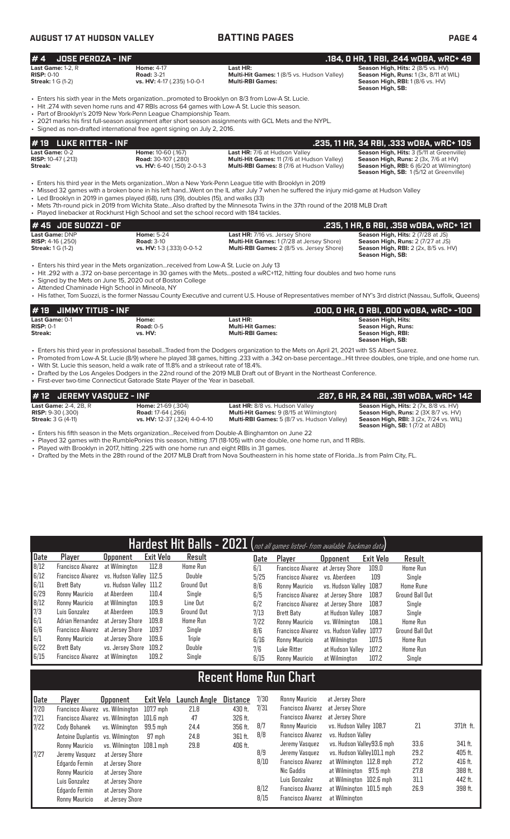# **AUGUST 17 AT HUDSON VALLEY BATTING PAGES PAGE 4**

| <b>JOSE PEROZA - INF</b><br>#4                                         |                                                                                                                                                                                                                                                                                                                                                      |                                                                                                                                                                                                                                                                                                                                                                               | .184, 0 HR, 1 RBI, .244 wOBA, wRC+ 49                                                                                                                                   |
|------------------------------------------------------------------------|------------------------------------------------------------------------------------------------------------------------------------------------------------------------------------------------------------------------------------------------------------------------------------------------------------------------------------------------------|-------------------------------------------------------------------------------------------------------------------------------------------------------------------------------------------------------------------------------------------------------------------------------------------------------------------------------------------------------------------------------|-------------------------------------------------------------------------------------------------------------------------------------------------------------------------|
| Last Game: 1-2, R<br><b>RISP: 0-10</b><br><b>Streak:</b> 1 G (1-2)     | <b>Home: 4-17</b><br><b>Road: 3-21</b><br>vs. HV: 4-17 (.235) 1-0-0-1                                                                                                                                                                                                                                                                                | Last HR:<br>Multi-Hit Games: 1 (8/5 vs. Hudson Valley)<br><b>Multi-RBI Games:</b>                                                                                                                                                                                                                                                                                             | Season High, Hits: 2 (8/5 vs. HV)<br>Season High, Runs: 1 (3x, 8/11 at WIL)<br>Season High, RBI: 1 (8/6 vs. HV)<br>Season High, SB:                                     |
|                                                                        | • Enters his sixth year in the Mets organizationpromoted to Brooklyn on 8/3 from Low-A St. Lucie.<br>• Hit .274 with seven home runs and 47 RBIs across 64 games with Low-A St. Lucie this season.<br>• Part of Brooklyn's 2019 New York-Penn League Championship Team.<br>• Signed as non-drafted international free agent signing on July 2, 2016. | • 2021 marks his first full-season assignment after short season assignments with GCL Mets and the NYPL.                                                                                                                                                                                                                                                                      |                                                                                                                                                                         |
| <b>LUKE RITTER - INF</b><br># 19                                       |                                                                                                                                                                                                                                                                                                                                                      |                                                                                                                                                                                                                                                                                                                                                                               | .235, 11 HR, 34 RBI, .333 wOBA, wRC+ 105                                                                                                                                |
| Last Game: 0-2<br><b>RISP:</b> 10-47 (.213)<br><b>Streak:</b>          | Home: 10-60 (.167)<br><b>Road: 30-107 (.280)</b><br>vs. HV: 6-40 (.150) 2-0-1-3                                                                                                                                                                                                                                                                      | Last HR: 7/6 at Hudson Valley<br>Multi-Hit Games: 11 (7/6 at Hudson Valley)<br>Multi-RBI Games: 8 (7/6 at Hudson Valley)                                                                                                                                                                                                                                                      | Season High, Hits: 3 (5/11 at Greenville)<br>Season High, Runs: 2 (3x, 7/6 at HV)<br>Season High, RBI: 6 (6/20 at Wilmington)<br>Season High, SB: 1(5/12 at Greenville) |
|                                                                        | • Led Brooklyn in 2019 in games played (68), runs (39), doubles (15), and walks (33)<br>• Played linebacker at Rockhurst High School and set the school record with 184 tackles.                                                                                                                                                                     | Enters his third year in the Mets organizationWon a New York-Penn League title with Brooklyn in 2019<br>• Missed 32 games with a broken bone in his left handWent on the IL after July 7 when he suffered the injury mid-game at Hudson Valley<br>• Mets 7th-round pick in 2019 from Wichita StateAlso drafted by the Minnesota Twins in the 37th round of the 2018 MLB Draft |                                                                                                                                                                         |
| # 45 JOE SUOZZI - OF                                                   |                                                                                                                                                                                                                                                                                                                                                      |                                                                                                                                                                                                                                                                                                                                                                               | .235, 1 HR, 6 RBI, .358 wOBA, wRC+ 121                                                                                                                                  |
| Last Game: DNP<br><b>RISP: 4-16 (.250)</b><br><b>Streak:</b> 1 G (1-2) | <b>Home: 5-24</b><br><b>Road: 3-10</b><br>vs. HV: 1-3 (.333) 0-0-1-2                                                                                                                                                                                                                                                                                 | Last HR: 7/16 vs. Jersey Shore<br>Multi-Hit Games: 1 (7/28 at Jersey Shore)<br>Multi-RBI Games: 2 (8/5 vs. Jersey Shore)                                                                                                                                                                                                                                                      | Season High, Hits: 2 (7/28 at JS)<br>Season High, Runs: 2 (7/27 at JS)<br>Season High, RBI: 2 (2x, 8/5 vs. HV)<br>Season High, SB:                                      |
| • Attended Chaminade High School in Mineola, NY                        | • Enters his third year in the Mets organizationreceived from Low-A St. Lucie on July 13<br>• Signed by the Mets on June 15, 2020 out of Boston College                                                                                                                                                                                              | • Hit .292 with a .372 on-base percentage in 30 games with the Metsposted a wRC+112, hitting four doubles and two home runs<br>· His father, Tom Suozzi, is the former Nassau County Executive and current U.S. House of Representatives member of NY's 3rd district (Nassau, Suffolk, Queens)                                                                                |                                                                                                                                                                         |
| $\mu$ 18 $\mu$ in the set of the set of $\mu$                          |                                                                                                                                                                                                                                                                                                                                                      |                                                                                                                                                                                                                                                                                                                                                                               | 888 8.118 8.881 888884 88. 188                                                                                                                                          |

| l# 19 JIMMY TITUS - INF |                  |                         | .000. O HR. O RBI. .000 wOBA. wRC+ -100 |
|-------------------------|------------------|-------------------------|-----------------------------------------|
| Last Game: 0-1          | Home:            | Last HR:                | Season High, Hits:                      |
| $RISP: 0-1$             | <b>Road: 0-5</b> | <b>Multi-Hit Games:</b> | Season High, Runs:                      |
| Streak:                 | vs. HV:          | <b>Multi-RBI Games:</b> | Season High, RBI:                       |
|                         |                  |                         | Season High, SB:                        |

• Enters his third year in professional baseball...Traded from the Dodgers organization to the Mets on April 21, 2021 with SS Albert Suarez.

• Promoted from Low-A St. Lucie (8/9) where he played 38 games, hitting .233 with a .342 on-base percentage...Hit three doubles, one triple, and one home run. • With St. Lucie this season, held a walk rate of 11.8% and a strikeout rate of 18.4%.

• Drafted by the Los Angeles Dodgers in the 22nd round of the 2019 MLB Draft out of Bryant in the Northeast Conference. • First-ever two-time Connecticut Gatorade State Player of the Year in baseball.

| $\#$ 12 $\,$ JEREMY VASQUEZ - INF |                               |                                                   | . 287, 6 HR, 24 RBI, .391 wOBA, wRC+ 142 .    |
|-----------------------------------|-------------------------------|---------------------------------------------------|-----------------------------------------------|
| <b>Last Game:</b> 2-4, 2B, R      | <b>Home: 21-69 (.304)</b>     | Last HR: 8/8 vs. Hudson Valley                    | Season High, Hits: 2 (7x, 8/8 vs. HV)         |
| <b>RISP:</b> $9-30$ (.300)        | <b>Road:</b> 17-64 (.266)     | <b>Multi-Hit Games:</b> 9 (8/15 at Wilmington)    | Season High, Runs: 2 (3X 8/7 vs. HV)          |
| <b>Streak:</b> 3 G (4-11)         | vs. HV: 12-37 (.324) 4-0-4-10 | <b>Multi-RBI Games:</b> 5 (8/7 vs. Hudson Valley) | <b>Season High, RBI: 3 (2x, 7/24 vs. WIL)</b> |
|                                   |                               |                                                   | <b>Season High, SB: 1 (7/2 at ABD)</b>        |

• Enters his fifth season in the Mets organization...Received from Double-A Binghamton on June 22

• Played 32 games with the RumblePonies this season, hitting .171 (18-105) with one double, one home run, and 11 RBIs.

• Played with Brooklyn in 2017, hitting .225 with one home run and eight RBIs in 31 games.

• Drafted by the Mets in the 28th round of the 2017 MLB Draft from Nova Southeastern in his home state of Florida...Is from Palm City, FL.

|      |                          |                         |           |                 |      | Hardest Hit Balls - 2021 (not all games listed- from available Trackman data) |                         |           |                        |
|------|--------------------------|-------------------------|-----------|-----------------|------|-------------------------------------------------------------------------------|-------------------------|-----------|------------------------|
| Date | Player                   | <b>Opponent</b>         | Exit Velo | Result          | Date | Player                                                                        | <b>Opponent</b>         | Exit Velo | Result                 |
| 8/12 | <b>Francisco Alvarez</b> | at Wilmington           | 112.8     | <b>Home Run</b> | 6/1  | Francisco Alvarez at Jersey Shore                                             |                         | 109.0     | Home Run               |
| 6/12 | Francisco Alvarez        | vs. Hudson Vallev 112.5 |           | Double          | 5/25 | <b>Francisco Alvarez</b>                                                      | vs. Aberdeen            | 109       | Single                 |
| 6/11 | Brett Baty               | vs. Hudson Valley 111.2 |           | Ground Out      | 8/6  | Ronny Mauricio                                                                | vs. Hudson Valley 108.7 |           | <b>Home Rune</b>       |
| 6/29 | Ronny Mauricio           | at Aberdeen             | 110.4     | Single          | 6/5  | <b>Francisco Alvarez</b>                                                      | at Jersey Shore         | 108.7     | Ground Ball Out        |
| 8/12 | Ronny Mauricio           | at Wilmington           | 109.9     | Line Out        | 6/2  | Francisco Alvarez                                                             | at Jersey Shore         | 108.7     | Single                 |
| 7/3  | Luis Gonzalez            | at Aberdeen             | 109.9     | Ground Out      | 7/13 | Brett Baty                                                                    | at Hudson Valley        | 108.7     | Single                 |
| 6/1  | Adrian Hernandez         | at Jersev Shore         | 109.8     | <b>Home Run</b> | 7/22 | Ronny Mauricio                                                                | vs. Wilmington          | 108.1     | Home Run               |
| 6/6  | <b>Francisco Alvarez</b> | at Jersev Shore         | 109.7     | Single          | 8/6  | <b>Francisco Alvarez</b>                                                      | vs. Hudson Vallev       | 107.7     | <b>Ground Ball Out</b> |
| 6/1  | Ronny Mauricio           | at Jersev Shore         | 109.6     | Triple          | 6/16 | Ronny Mauricio                                                                | at Wilmington           | 107.5     | <b>Home Run</b>        |
| 6/22 | Brett Baty               | vs. Jersev Shore        | 109.2     | Double          | 7/6  | Luke Ritter                                                                   | at Hudson Valley        | 107.2     | <b>Home Run</b>        |
| 6/15 | Francisco Alvarez        | at Wilmington           | 109.2     | Single          | 6/15 | Ronny Mauricio                                                                | at Wilmington           | 107.2     | Single                 |

# **Recent Home Run Chart**

| Date | Player                                     | <b>Opponent</b>          | Exit Velo | <b>Launch Angle</b> | Distance | 7/30 | Ronny Mauricio           | at Jersev Shore            |      |           |
|------|--------------------------------------------|--------------------------|-----------|---------------------|----------|------|--------------------------|----------------------------|------|-----------|
| 7/20 | Francisco Alvarez vs. Wilmington           |                          | 107.7 mph | 21.8                | 430 ft.  | 7/31 | Francisco Alvarez        | at Jersey Shore            |      |           |
| 7/21 | Francisco Alvarez vs. Wilmington 101.6 mph |                          |           | 47                  | 326 ft.  |      | Francisco Alvarez        | at Jersey Shore            |      |           |
| 7/22 | Cody Bohanek                               | vs. Wilminaton           | 99.5 mph  | 24.4                | 356 ft.  | 8/7  | Ronny Mauricio           | vs. Hudson Valley 108.7    | 21   | 371ft ft. |
|      | Antoine Duplantis vs. Wilmington           |                          | 97 mph    | 24.8                | 361 ft.  | 8/8  | <b>Francisco Alvarez</b> | vs. Hudson Vallev          |      |           |
|      | Ronny Mauricio                             | vs. Wilmington 108.1 mph |           | 29.8                | 406 ft.  |      | Jeremy Vasquez           | vs. Hudson Vallev93.6 mph  | 33.6 | 341 ft.   |
| 1/27 | Jeremy Vasquez                             | at Jersey Shore          |           |                     |          | 8/9  | Jeremy Vasquez           | vs. Hudson Valley101.1 mph | 29.2 | 405 ft.   |
|      | Edgardo Fermin                             | at Jersey Shore          |           |                     |          | 8/10 | Francisco Alvarez        | at Wilmington 112.8 mph    | 27.2 | 416 ft.   |
|      | Ronny Mauricio                             | at Jersey Shore          |           |                     |          |      | Nic Gaddis               | at Wilmington 97.5 mph     | 27.8 | 388 ft.   |
|      | Luis Gonzalez                              | at Jersey Shore          |           |                     |          |      | Luis Gonzalez            | at Wilmington 102.6 mph    | 31.1 | 442 ft.   |
|      | Edgardo Fermin                             | at Jersey Shore          |           |                     |          | 8/12 | <b>Francisco Alvarez</b> | at Wilmington 101.5 mph    | 26.9 | 398 ft.   |
|      | Ronny Mauricio                             | at Jersey Shore          |           |                     |          | 8/15 | <b>Francisco Alvarez</b> | at Wilmington              |      |           |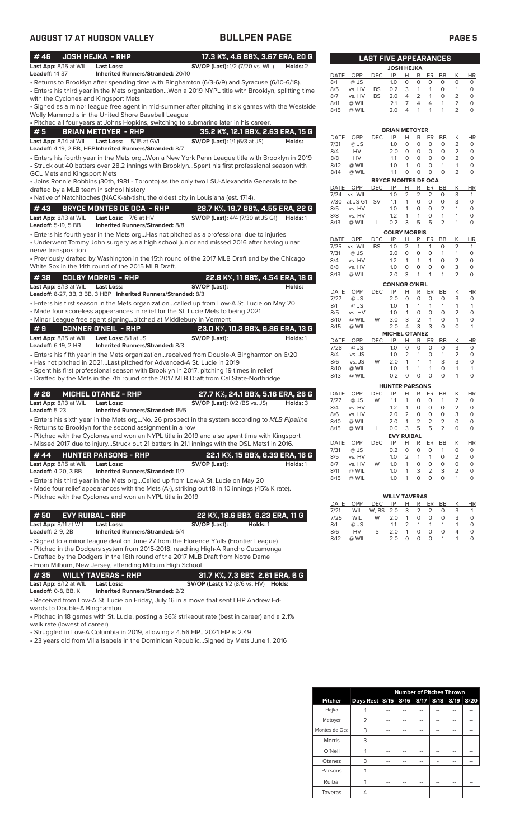| #46                                     | <b>JOSH HEJKA - RHP</b>                                                                                                                                                   | 17.3 K%, 4.6 BB%, 3.67 ERA, 20 G                         |          |              |                    | <b>LAST FIVE APPEARANCES</b> |                             |                           |                   |                         |                         |                                |                         |
|-----------------------------------------|---------------------------------------------------------------------------------------------------------------------------------------------------------------------------|----------------------------------------------------------|----------|--------------|--------------------|------------------------------|-----------------------------|---------------------------|-------------------|-------------------------|-------------------------|--------------------------------|-------------------------|
| Last App: 8/15 at WIL                   | <b>Last Loss:</b>                                                                                                                                                         | <b>SV/OP (Last):</b> 1/2 (7/20 vs. WIL)                  | Holds: 2 |              |                    |                              | <b>JOSH HEJKA</b>           |                           |                   |                         |                         |                                |                         |
| <b>Leadoff: 14-37</b>                   | Inherited Runners/Stranded: 20/10                                                                                                                                         |                                                          |          | DATE         | OPP                | <b>DEC</b>                   | IP                          | H                         | R                 | ER                      | BB                      | Κ                              | HI                      |
|                                         | - Returns to Brooklyn after spending time with Binghamton (6/3-6/9) and Syracuse (6/10-6/18).                                                                             |                                                          |          | 8/1<br>8/5   | @ JS<br>vs. HV     | <b>BS</b>                    | 1.0<br>0.2                  | $\circ$<br>3              | 0<br>$\mathbf{1}$ | 0<br>$\mathbf{1}$       | 0<br>$\circ$            | 0<br>$\mathbf{1}$              | $\mathbf 0$<br>0        |
|                                         | Enters his third year in the Mets organizationWon a 2019 NYPL title with Brooklyn, splitting time                                                                         |                                                          |          | 8/7          | vs. HV             | <b>BS</b>                    | 2.0                         | 4                         | $\overline{2}$    | $\mathbf{1}$            | 0                       | 2                              | 0                       |
| with the Cyclones and Kingsport Mets    | · Signed as a minor league free agent in mid-summer after pitching in six games with the Westside                                                                         |                                                          |          | 8/11         | @ WIL              |                              | 2.1                         | 7                         | 4                 | 4                       | $\mathbf{1}$            | $\overline{2}$                 | 0                       |
|                                         | Wolly Mammoths in the United Shore Baseball League                                                                                                                        |                                                          |          | 8/15         | @ WIL              |                              | 2.0                         | 4                         | 1                 | 1                       | 1                       | 2                              | 0                       |
|                                         | . Pitched all four years at Johns Hopkins, switching to submarine later in his career.                                                                                    |                                                          |          |              |                    |                              |                             |                           |                   |                         |                         |                                |                         |
| #5                                      | <b>BRIAN METOYER - RHP</b>                                                                                                                                                | 35.2 K%, 12.1 BB%, 2.63 ERA, 15 G                        |          |              |                    |                              | <b>BRIAN METOYER</b>        |                           |                   |                         |                         |                                |                         |
| Last App: 8/14 at WIL                   | 5/15 at GVL<br><b>Last Loss:</b>                                                                                                                                          | SV/OP (Last): 1/1 (6/3 at JS)                            | Holds:   | DATE<br>7/31 | OPP<br>@ JS        | <b>DEC</b>                   | IP<br>1.0                   | н<br>$\circ$              | R<br>0            | ER<br>$\circ$           | BB<br>$\mathbf 0$       | Κ<br>$\overline{2}$            | HI<br>0                 |
|                                         | Leadoff: 4-19, 2 BB, HBP Inherited Runners/Stranded: 8/7                                                                                                                  |                                                          |          | 8/4          | HV                 |                              | 2.0                         | 0                         | 0                 | 0                       | 0                       | $\overline{2}$                 | 0                       |
|                                         | · Enters his fourth year in the Mets orgWon a New York Penn League title with Brooklyn in 2019                                                                            |                                                          |          | 8/8          | HV                 |                              | 1.1                         | O                         | $\circ$           | $\circ$                 | $\mathbf 0$             | $\overline{2}$                 | 0                       |
|                                         | · Struck out 40 batters over 28.2 innings with BrooklynSpent his first professional season with                                                                           |                                                          |          | 8/12<br>8/14 | @ WIL<br>@ WIL     |                              | 1.0<br>1.1                  | $\mathbf{1}$<br>0         | $\circ$<br>0      | $\circ$<br>$\mathbf 0$  | $\mathbf{1}$<br>$\circ$ | $\mathbf{1}$<br>$\overline{2}$ | 0<br>0                  |
| GCL Mets and Kingsport Mets             | • Joins Ronnie Robbins (30th, 1981 - Toronto) as the only two LSU-Alexandria Generals to be                                                                               |                                                          |          |              |                    |                              | <b>BRYCE MONTES DE OCA</b>  |                           |                   |                         |                         |                                |                         |
| drafted by a MLB team in school history |                                                                                                                                                                           |                                                          |          | DATE         | OPP                | <b>DEC</b>                   | IP                          | н                         | R                 | ER                      | BB                      | Κ                              | HI                      |
|                                         | • Native of Natchitoches (NACK-ah-tish), the oldest city in Louisiana (est. 1714).                                                                                        |                                                          |          | 7/24         | vs. WIL            |                              | 1.0                         | 2                         | $\overline{2}$    | 2                       | 0                       | 3                              | -1                      |
| #43                                     | <b>BRYCE MONTES DE OCA - RHP</b>                                                                                                                                          | 28.7 K%, 19.7 BB%, 4.55 ERA, 22 G                        |          | 7/30<br>8/5  | at JS G1<br>vs. HV | <b>SV</b>                    | 1.1<br>1.0                  | $\mathbf{1}$<br>1         | 0<br>0            | $\circ$<br>0            | 0<br>2                  | 3<br>$\mathbf{1}$              | $\mathbf 0$<br>$\Omega$ |
| Last App: 8/13 at WIL                   | Last Loss: 7/6 at HV                                                                                                                                                      | <b>SV/OP (Last):</b> 4/4 (7/30 at JS G1) <b>Holds:</b> 1 |          | 8/8          | vs. HV             |                              | 1.2                         | 1                         | 1                 | 0                       | $\mathbf{1}$            | $\mathbf{1}$                   | 0                       |
| Leadoff: 5-19, 5 BB                     | <b>Inherited Runners/Stranded: 8/8</b>                                                                                                                                    |                                                          |          | 8/13         | @ WIL              | L                            | 0.2                         | 3                         | 5                 | 5                       | $\overline{2}$          | 1                              | 0                       |
|                                         | · Enters his fourth year in the Mets orgHas not pitched as a professional due to injuries                                                                                 |                                                          |          |              |                    |                              | <b>COLBY MORRIS</b>         |                           |                   |                         |                         |                                |                         |
|                                         | • Underwent Tommy John surgery as a high school junior and missed 2016 after having ulnar                                                                                 |                                                          |          | DATE         | OPP<br>vs. WIL     | DEC                          | IP                          | H                         | R                 | ER                      | BB                      | Κ                              | HI                      |
| nerve transposition                     |                                                                                                                                                                           |                                                          |          | 7/25<br>7/31 | @ JS               | <b>BS</b>                    | 1.0<br>2.0                  | $\overline{2}$<br>$\circ$ | $\mathbf{1}$<br>0 | $\mathbf{1}$<br>$\circ$ | O<br>1                  | 2<br>$\mathbf{1}$              | $\mathbf{1}$<br>$\circ$ |
|                                         | • Previously drafted by Washington in the 15th round of the 2017 MLB Draft and by the Chicago                                                                             |                                                          |          | 8/4          | vs. HV             |                              | 1.2                         | $\mathbf{1}$              | $\mathbf{1}$      | $\mathbf{1}$            | 0                       | $\overline{c}$                 | 0                       |
|                                         | White Sox in the 14th round of the 2015 MLB Draft.                                                                                                                        |                                                          |          | 8/8          | vs. HV             |                              | 1.0                         | 0                         | 0                 | $\circ$                 | $\circ$                 | 3                              | $\circ$                 |
| #38                                     | <b>COLBY MORRIS - RHP</b>                                                                                                                                                 | 22.8 K%, 11 BB%, 4.54 ERA, 18 G                          |          | 8/13         | @ WIL              |                              | 2.0                         | 3                         | 1                 | 1                       | 1                       | $\overline{2}$                 | 0                       |
| Last App: 8/13 at WIL                   | <b>Last Loss:</b>                                                                                                                                                         | SV/OP (Last):                                            | Holds:   |              | OPP                |                              | <b>CONNOR O'NEIL</b><br>IP  |                           | R                 |                         |                         | К                              |                         |
|                                         | Leadoff: 8-27, 3B, 3 BB, 3 HBP Inherited Runners/Stranded: 8/3                                                                                                            |                                                          |          | DATE<br>7/27 | @ JS               | <b>DEC</b>                   | 2.0                         | Н<br>$\circ$              | 0                 | ER<br>$\circ$           | BB<br>0                 | 3                              | HI<br>0                 |
|                                         | · Enters his first season in the Mets organizationcalled up from Low-A St. Lucie on May 20                                                                                |                                                          |          | 8/1          | @ JS               |                              | 1.0                         | 1                         | 1                 | $\mathbf{1}$            | $\mathbf{1}$            | $\mathbf{1}$                   |                         |
|                                         | • Made four scoreless appearances in relief for the St. Lucie Mets to being 2021<br>• Minor League free agent signingpitched at Middlebury in Vermont                     |                                                          |          | 8/5          | vs. HV             |                              | 1.0                         | $\mathbf{1}$<br>3         | $\mathbf 0$<br>2  | 0<br>$\overline{1}$     | $\circ$<br>$\mathbf 0$  | $\overline{2}$<br>$\mathbf{1}$ | 0<br>0                  |
|                                         | <b>CONNER O'NEIL - RHP</b>                                                                                                                                                |                                                          |          | 8/10<br>8/15 | @ WIL<br>@ WIL     | W                            | 3.0<br>2.0                  | $\overline{4}$            | 3                 | 3                       | $\mathbf 0$             | $\Omega$                       |                         |
| #9<br>Last App: 8/15 at WIL             | Last Loss: 8/1 at JS                                                                                                                                                      | 23.0 K%, 10.3 BB%, 6.86 ERA, 13 G<br>SV/OP (Last):       | Holds: 1 |              |                    |                              | <b>MICHEL OTANEZ</b>        |                           |                   |                         |                         |                                |                         |
| <b>Leadoff:</b> 6-19, 2 HR              | Inherited Runners/Stranded: 8/3                                                                                                                                           |                                                          |          | DATE<br>7/28 | OPP                | <b>DEC</b>                   | IP                          | н<br>$\circ$              | R<br>0            | ER<br>$\circ$           | BB<br>0                 | Κ<br>3                         | HI                      |
|                                         | • Enters his fifth year in the Mets organization…received from Double-A Binghamton on 6/20                                                                                |                                                          |          | 8/4          | @ JS<br>vs. JS     |                              | 1.0<br>1.0                  | 2                         | $\mathbf{1}$      | $\circ$                 | $\mathbf{1}$            | $\overline{2}$                 | 0<br>0                  |
|                                         | • Has not pitched in 2021Last pitched for Advanced-A St. Lucie in 2019                                                                                                    |                                                          |          | 8/6          | vs. JS             | W                            | 2.0                         | 1                         | 1                 | 1                       | 3                       | 3                              | 0                       |
|                                         | • Spent his first professional season with Brooklyn in 2017, pitching 19 times in relief                                                                                  |                                                          |          | 8/10         | @ WIL              |                              | 1.0                         | 1                         | 1                 | $\mathbf{1}$            | 0                       | $\mathbf{1}$                   | 1                       |
|                                         | • Drafted by the Mets in the 7th round of the 2017 MLB Draft from Cal State-Northridge                                                                                    |                                                          |          | 8/13         | @ WIL              |                              | 0.2                         | $\circ$                   | 0                 | $\mathbf 0$             | $\mathbf 0$             | 1                              | 0                       |
|                                         |                                                                                                                                                                           |                                                          |          | DATE         | OPP                | DEC                          | <b>HUNTER PARSONS</b><br>IP | н                         | R                 | ER                      | BB                      | Κ                              |                         |
| #26                                     | <b>MICHEL OTANEZ - RHP</b>                                                                                                                                                | 27.7 K%, 24.1 BB%, 5.16 ERA, 26 G                        |          | 7/27         | @ JS               | W                            | 1.1                         | 1                         | 0                 | 0                       | 1                       | $\overline{2}$                 | HI<br>$\circ$           |
| Last App: 8/13 at WIL<br>Leadoff: 5-23  | <b>Last Loss:</b><br>Inherited Runners/Stranded: 15/5                                                                                                                     | <b>SV/OP (Last): 0/2 (BS vs. JS)</b>                     | Holds: 3 | 8/4          | vs. HV             |                              | 1.2                         | $\mathbf{1}$              | 0                 | $\circ$                 | O                       | 2                              | $\mathbf 0$             |
|                                         | • Enters his sixth vear in the Mets orgNo. 26 prospect in the system according to MLB Pipeline                                                                            |                                                          |          | 8/6          | vs. HV             |                              | 2.0                         | 2                         | $\circ$           | $\circ$                 | $\circ$                 | 3                              | 0                       |
|                                         | • Returns to Brooklyn for the second assignment in a row                                                                                                                  |                                                          |          | 8/10<br>8/15 | @ WIL<br>@ WIL     | L                            | 2.0<br>0.0                  | $\mathbf{1}$<br>3         | 2<br>5            | 2<br>5                  | 2<br>2                  | 0<br>$\mathbf 0$               | 0<br>0                  |
|                                         | • Pitched with the Cyclones and won an NYPL title in 2019 and also spent time with Kingsport                                                                              |                                                          |          |              |                    |                              | <b>EVY RUIBAL</b>           |                           |                   |                         |                         |                                |                         |
|                                         | • Missed 2017 due to injuryStruck out 21 batters in 21.1 innings with the DSL Mets1 in 2016.                                                                              |                                                          |          | DATE         | OPP                | <b>DEC</b>                   | IP                          | H.                        | R                 | ER                      | BB                      | Κ                              | HI                      |
| #44                                     | <b>HUNTER PARSONS - RHP</b>                                                                                                                                               | 22.1 K%, 15 BB%, 6.39 ERA, 16 G                          |          | 7/31<br>8/5  | @ JS<br>vs. HV     |                              | 0.2<br>1.0                  | 0<br>2                    | 0<br>1            | 0<br>1                  | 1<br>0                  | 0<br>2                         | 0<br>0                  |
| Last App: 8/15 at WIL                   | Last Loss:                                                                                                                                                                | SV/OP (Last):                                            | Holds: 1 | 8/7          | vs. HV             | W                            | 1.0                         | 1                         | 0                 | 0                       | 0                       | 0                              | 0                       |
| Leadoff: 4-20, 3 BB                     | <b>Inherited Runners/Stranded: 11/7</b>                                                                                                                                   |                                                          |          | 8/11         | @ WIL              |                              | 1.0                         | 1                         | 3                 | 2                       | 3                       | 2                              | 0                       |
|                                         | • Enters his third year in the Mets orgCalled up from Low-A St. Lucie on May 20                                                                                           |                                                          |          | 8/15         | @ WIL              |                              | 1.0                         | 1                         | 0                 | 0                       | O                       | 1                              | 0                       |
|                                         | • Made four relief appearances with the Mets (A-), striking out 18 in 10 innings (45% K rate).                                                                            |                                                          |          |              |                    |                              |                             |                           |                   |                         |                         |                                |                         |
|                                         | • Pitched with the Cyclones and won an NYPL title in 2019                                                                                                                 |                                                          |          |              |                    |                              | <b>WILLY TAVERAS</b><br>IP  |                           |                   |                         |                         |                                |                         |
|                                         |                                                                                                                                                                           |                                                          |          | DATE<br>7/21 | OPP<br>WIL         | DEC<br>W, BS                 | 2.0                         | Н<br>3                    | R<br>2            | <u>ER</u><br>2          | BB<br>0                 | Κ<br>3                         | HI<br>$\mathbf{1}$      |
| #50                                     | <b>EVY RUIBAL - RHP</b>                                                                                                                                                   | 22 K%, 18.6 BB% 6.23 ERA, 11 G                           |          | 7/25         | WIL                | W                            | 2.0                         | 1                         | 0                 | 0                       | 0                       | 3                              | 0                       |
| Last App: 8/11 at WIL                   | Last Loss:                                                                                                                                                                | SV/OP (Last):<br>Holds: 1                                |          | 8/1          | @ JS               |                              | 1.1                         | 2                         | 1                 | 1                       | 1                       | 1                              | 0                       |
| Leadoff: 2-9, 2B                        | <b>Inherited Runners/Stranded: 6/4</b>                                                                                                                                    |                                                          |          | 8/6<br>8/12  | HV<br>@ WIL        | S                            | 2.0<br>2.0                  | 1<br>0                    | 0<br>0            | 0<br>$\circ$            | 0<br>1                  | 4<br>$\mathbf{1}$              | 0<br>0                  |
|                                         | • Signed to a minor league deal on June 27 from the Florence Y'alls (Frontier League)<br>• Pitched in the Dodgers system from 2015-2018, reaching High-A Rancho Cucamonga |                                                          |          |              |                    |                              |                             |                           |                   |                         |                         |                                |                         |
|                                         | • Drafted by the Dodgers in the 16th round of the 2017 MLB Draft from Notre Dame                                                                                          |                                                          |          |              |                    |                              |                             |                           |                   |                         |                         |                                |                         |
|                                         | • From Milburn, New Jersey, attending Milburn High School                                                                                                                 |                                                          |          |              |                    |                              |                             |                           |                   |                         |                         |                                |                         |
| #35                                     | <b>WILLY TAVERAS - RHP</b>                                                                                                                                                | 31.7 K%, 7.3 BB% 2.61 ERA, 6 G                           |          |              |                    |                              |                             |                           |                   |                         |                         |                                |                         |
| Last App: 8/12 at WIL                   | Last Loss:                                                                                                                                                                | <b>SV/OP (Last):</b> 1/2 (8/6 vs. HV) <b>Holds:</b>      |          |              |                    |                              |                             |                           |                   |                         |                         |                                |                         |
| <b>Leadoff:</b> 0-8, BB, K              | <b>Inherited Runners/Stranded: 2/2</b>                                                                                                                                    |                                                          |          |              |                    |                              |                             |                           |                   |                         |                         |                                |                         |
|                                         |                                                                                                                                                                           |                                                          |          |              |                    |                              |                             |                           |                   |                         |                         |                                |                         |

• Received from Low-A St. Lucie on Friday, July 16 in a move that sent LHP Andrew Edwards to Double-A Binghamton

• Pitched in 18 games with St. Lucie, posting a 36% strikeout rate (best in career) and a 2.1% walk rate (lowest of career)

• Struggled in Low-A Columbia in 2019, allowing a 4.56 FIP...2021 FIP is 2.49

• 23 years old from Villa Isabela in the Dominican Republic...Signed by Mets June 1, 2016

| DATE                | OPP            | <b>DEC</b> | IP                         | Н                | R                | ER             | <b>BB</b>         | Κ              | <b>HR</b>      |
|---------------------|----------------|------------|----------------------------|------------------|------------------|----------------|-------------------|----------------|----------------|
| 8/1                 | @ JS           |            | 1.0                        | 0                | 0                | 0              | 0                 | 0              | 0              |
| 8/5                 | vs. HV         | <b>BS</b>  | 0.2                        | 3                | $\mathbf{1}$     | 1              | 0                 | 1              | 0              |
| 8/7                 | vs. HV         | <b>BS</b>  | 2.0                        | $\overline{4}$   | 2                | 1              | 0                 | 2              | 0              |
| 8/11                | @ WIL          |            | 2.1                        | 7                | 4                | 4              | 1                 | 2              | 0              |
| 8/15                | @ WIL          |            | 2.0                        | 4                | 1                | 1              | 1                 | 2              | 0              |
|                     |                |            |                            |                  |                  |                |                   |                |                |
|                     |                |            | <b>BRIAN METOYER</b>       |                  |                  |                |                   |                |                |
| DATE                | OPP            | <b>DEC</b> | IP                         | Н                | R                | ER             | <b>BB</b>         | K              | HR             |
| 7/31                | @ JS           |            | 1.0                        | $\circ$          | O                | $\overline{O}$ | 0                 | $\overline{2}$ | 0              |
| 8/4                 | HV             |            | 2.0                        | $\Omega$         | $\Omega$         | O              | 0                 | $\overline{2}$ | 0              |
| 8/8                 | HV             |            | 1.1                        | 0                | 0                | 0              | 0                 | $\overline{2}$ | 0              |
| 8/12                | @ WIL          |            | 1.0                        | 1                | 0                | 0              | 1                 | 1              | 0              |
| 8/14                | @ WIL          |            | 1.1                        | 0                | 0                | 0              | 0                 | $\overline{2}$ | 0              |
|                     |                |            | <b>BRYCE MONTES DE OCA</b> |                  |                  |                |                   |                |                |
| DATE                | OPP            | DEC        | IP                         | Н                | R                | ER             | <b>BB</b>         | Κ              | <b>HR</b>      |
| 7/24                | vs. WIL        |            | 1.0                        | 2                | $\overline{2}$   | $\overline{2}$ | 0                 | 3              | 1              |
| 7/30                | at JS G1       | SV         | 1.1                        | 1                | 0                | 0              | 0                 | 3              | 0              |
| 8/5                 | vs. HV         |            | 1.0                        | 1                | 0                | 0              | 2                 | 1              | 0              |
| 8/8                 | vs. HV         |            | 1.2                        | 1                | 1                | 0              | $\mathbf{1}$      | 1              | 0              |
| 8/13                | @ WIL          | L          | 0.2                        | 3                | 5                | 5              | $\overline{c}$    | 1              | 0              |
|                     |                |            | <b>COLBY MORRIS</b>        |                  |                  |                |                   |                |                |
| <b>DATE</b>         | OPP            | <b>DEC</b> | IP                         | $\mathsf{H}$     | R                | ER             | <b>BB</b>         | К              | HR             |
| 7/25                | vs. WIL        | <b>BS</b>  | 1.0<br>2.0                 | 2<br>$\mathbf 0$ | 1<br>$\mathbf 0$ | 1<br>0         | 0<br>$\mathbf{1}$ | 2<br>1         | 1<br>0         |
| 7/31<br>8/4         | @ JS<br>vs. HV |            | 1.2                        | 1                | 1                | 1              | 0                 | $\overline{2}$ | 0              |
| 8/8                 | vs. HV         |            | 1.0                        | 0                | 0                | 0              | 0                 | 3              | 0              |
| 8/13                | @ WIL          |            | 2.0                        | 3                | 1                | 1              | 1                 | $\overline{2}$ | 0              |
|                     |                |            |                            |                  |                  |                |                   |                |                |
|                     |                |            | <b>CONNOR O'NEIL</b>       |                  |                  |                |                   |                |                |
| <b>DATE</b><br>7/27 | OPP<br>@ JS    | DEC        | IP<br>2.0                  | Н<br>0           | R<br>0           | ER<br>0        | BB<br>0           | Κ<br>3         | <b>HR</b><br>0 |
| 8/1                 | @ JS           |            | 1.0                        | 1                | 1                | 1              | 1                 | 1              | $\mathbf{1}$   |
| 8/5                 | vs. HV         |            | 1.0                        | 1                | O                | O              | O                 | $\overline{2}$ | 0              |
| 8/10                | @ WIL          | W          | 3.0                        | 3                | $\overline{2}$   | 1              | 0                 | 1              | 0              |
| 8/15                | @ WIL          |            | 2.0                        | 4                | 3                | 3              | 0                 | 0              | 1              |
|                     |                |            | <b>MICHEL OTANEZ</b>       |                  |                  |                |                   |                |                |
| DATE                | OPP            | DEC        | IP                         | Н                | R                | ER             | ВB                | Κ              | HR             |
| 7/28                | @ JS           |            | 1.0                        | 0                | 0                | 0              | 0                 | 3              | 0              |
| 8/4                 | vs. JS         |            | 1.0                        | $\overline{2}$   | 1                | $\mathbf 0$    | $\mathbf{1}$      | 2              | 0              |
| 8/6                 | vs. JS         | W          | 2.0                        | 1                | 1                | 1              | 3                 | 3              | 0              |
| 8/10                | @ WIL          |            | 1.0                        | 1                | 1                | 1              | 0                 | 1              | 1              |
| 8/13                | @ WIL          |            | 0.2                        | 0                | 0                | 0              | 0                 | 1              | 0              |
|                     |                |            | <b>HUNTER PARSONS</b>      |                  |                  |                |                   |                |                |
| <b>DATE</b>         | OPP            | DEC        | IP                         | Н                | R                | ER             | <b>BB</b>         | Κ              | HR             |
| 7/27                | @ JS           | W          | 1.1                        | 1                | 0                | 0              | 1                 | 2              | 0              |
| 8/4                 | vs. HV         |            | 1.2                        | 1                | 0                | 0              | 0                 | $\overline{2}$ | 0              |
| 8/6                 | vs. HV         |            | 2.0                        | 2                | 0                | 0              | 0                 | 3              | 0              |
| 8/10                | @ WIL          |            | 2.0                        | 1                | $\overline{2}$   | $\overline{2}$ | 2                 | 0              | 0              |
| 8/15                | @ WIL          | L          | 0.0<br><b>EVY RUIBAL</b>   | 3                | 5                | 5              | 2                 | 0              | 0              |
| DATE                | OPP            | <b>DEC</b> | IP                         | Н                | R                | ER             | <b>BB</b>         | Κ              | <b>HR</b>      |
| 7/31                | @ JS           |            | 0.2                        | 0                | 0                | 0              | 1                 | 0              | 0              |
| 8/5                 | vs. HV         |            | 1.0                        | $\overline{2}$   | 1                | 1              | 0                 | $\overline{2}$ | 0              |
| 8/7                 | vs. HV         | W          | 1.0                        | 1                | 0                | 0              | 0                 | 0              | 0              |
| 8/11                | @ WIL          |            | 1.0                        | 1                | 3                | $\overline{2}$ | 3                 | 2              | 0              |
| 8/15                | @ WIL          |            | 1.0                        | 1                | $\circ$          | O              | 0                 | 1              | 0              |
|                     |                |            |                            |                  |                  |                |                   |                |                |
|                     |                |            | <b>WILLY TAVERAS</b>       |                  |                  |                |                   |                |                |
| DATE                | OPP            |            | DEC IP H                   |                  | R                | ER             | <b>BB</b>         | Κ              | <b>HR</b>      |

|                | <b>Number of Pitches Thrown</b> |    |    |                     |    |    |      |
|----------------|---------------------------------|----|----|---------------------|----|----|------|
| <b>Pitcher</b> | Days Rest 8/15                  |    |    | 8/16 8/17 8/18 8/19 |    |    | 8/20 |
| Hejka          |                                 |    |    |                     |    |    |      |
| Metoyer        | 2                               | -- |    |                     | -- |    |      |
| Montes de Oca  | 3                               | -- | -- | --                  |    |    |      |
| <b>Morris</b>  | 3                               | -- |    |                     |    |    |      |
| O'Neil         |                                 |    |    |                     |    |    |      |
| Otanez         | 3                               | -- |    | --                  |    |    |      |
| Parsons        |                                 | -- |    |                     |    |    |      |
| Ruibal         |                                 | -- | -- | --                  | -- | -- |      |
| Taveras        |                                 |    |    |                     |    |    |      |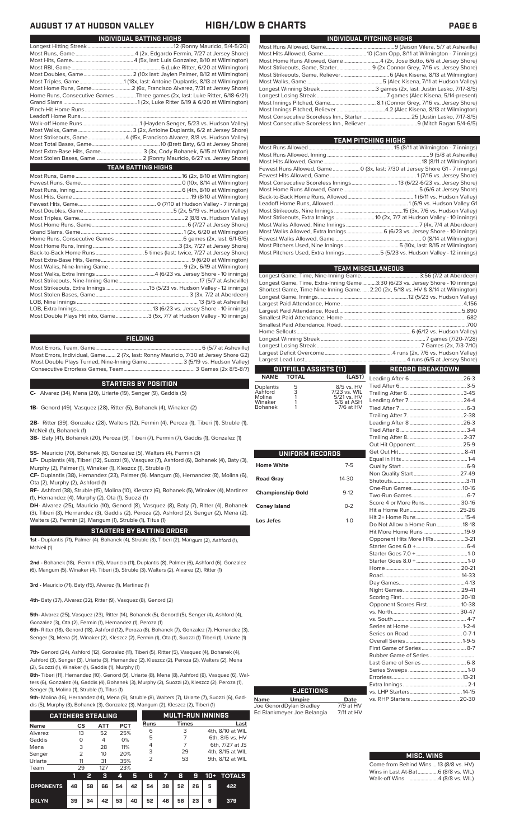| INDIVIDUAL BATTING HIGHS                                                    |
|-----------------------------------------------------------------------------|
|                                                                             |
|                                                                             |
|                                                                             |
|                                                                             |
|                                                                             |
|                                                                             |
|                                                                             |
| Home Runs, Consecutive Games Three games (2x, last: Luke Ritter, 6/18-6/21) |
|                                                                             |
|                                                                             |
|                                                                             |
|                                                                             |
|                                                                             |
| Most Strikeouts, Game4 (15x, Francisco Alvarez, 8/8 vs. Hudson Valley)      |
|                                                                             |
| Most Extra-Base Hits, Game 3 (3x, Cody Bohanek, 6/15 at Wilmington)         |
|                                                                             |
|                                                                             |
| <b>TEAM BATTING HIGHS</b>                                                   |
|                                                                             |
|                                                                             |
|                                                                             |
|                                                                             |
|                                                                             |
|                                                                             |
|                                                                             |
|                                                                             |
|                                                                             |
|                                                                             |
|                                                                             |
|                                                                             |
|                                                                             |
|                                                                             |
|                                                                             |
|                                                                             |

Most Errors, Team, Game...............................................................................6 (5/7 at Asheville) **FIELDING**

.3 (5x, 7/7 at Hudson Valley - 10 innings)

Most Errors, Individual, Game....... 2 (7x, last: Ronny Mauricio, 7/30 at Jersey Shore G2) Most Double Plays Turned, Nine-Inning Game.......................... 3 (5/19 vs. Hudson Valley) Consecutive Errorless Games, Team...

Most Strikeouts, Extra Innings ................................15 (5/23 vs. Hudson Valley - 12 innings) Most Stolen Bases, Game......................................................................3 (3x, 7/2 at Aberdeen) LOB, Nine Innings .......................................................................................... 13 (5/5 at Asheville) LOB, Extra Innings........................................................13 (6/23 vs. Jersey Shore - 10 innings)

### **C-** Alvarez (34), Mena (20), Uriarte (19), Senger (9), Gaddis (5) **STARTERS BY POSITION**

**1B-** Genord (49), Vasquez (28), Ritter (5), Bohanek (4), Winaker (2)

**2B-** Ritter (39), Gonzalez (28), Walters (12), Fermin (4), Peroza (1), Tiberi (1), Struble (1), McNeil (1), Bohanek (1)

**3B-** Baty (41), Bohanek (20), Peroza (9), Tiberi (7), Fermin (7), Gaddis (1), Gonzalez (1)

**SS-** Mauricio (70), Bohanek (6), Gonzalez (5), Walters (4), Fermin (3)

**LF-** Duplantis (41), Tiberi (12), Suozzi (9), Vasquez (7), Ashford (6), Bohanek (4), Baty (3), Murphy (2), Palmer (1), Winaker (1), Kleszcz (1), Struble (1)

**CF-** Duplantis (38), Hernandez (23), Palmer (9). Mangum (8), Hernandez (8), Molina (6), Ota (2), Murphy (2), Ashford (1)

**RF-** Ashford (38), Struble (15), Molina (10), Kleszcz (6), Bohanek (5), Winaker (4), Martinez (1), Hernandez (4), Murphy (2), Ota (1), Suozzi (1)

**DH-** Alvarez (25), Mauricio (10), Genord (8), Vasquez (8), Baty (7), Ritter (4), Bohanek (3), Tiberi (3), Hernandez (3), Gaddis (2), Peroza (2), Ashford (2), Senger (2), Mena (2), Walters (2), Fermin (2), Mangum (1), Struble (1), Titus (1)

## **STARTERS BY BATTING ORDER**

**1st -** Duplantis (71), Palmer (4). Bohanek (4), Struble (3), Tiberi (2), Mangum (2), Ashford (1), McNeil (1)

**2nd -** Bohanek (18), Fermin (15), Mauricio (11), Duplantis (8), Palmer (6), Ashford (6), Gonzalez (6), Mangum (5), Winaker (4), Tiberi (3), Struble (3), Walters (2), Alvarez (2), Ritter (1)

**3rd -** Mauricio (71), Baty (15), Alvarez (1), Martinez (1)

**4th-** Baty (37), Alvarez (32), Ritter (9), Vasquez (8), Genord (2)

**5th-** Alvarez (25), Vasquez (23), Ritter (14), Bohanek (5), Genord (5), Senger (4), Ashford (4), Gonzalez (3), Ota (2), Fermin (1), Hernandez (1), Peroza (1)

**6th-** Ritter (18), Genord (18), Ashford (12), Peroza (8), Bohanek (7), Gonzalez (7), Hernandez (3), Senger (3), Mena (2), Winaker (2), Kleszcz (2), Fermin (1), Ota (1), Suozzi (1) Tiberi (1), Uriarte (1)

**7th-** Genord (24), Ashford (12), Gonzalez (11), Tiberi (5), Ritter (5), Vasquez (4), Bohanek (4), Ashford (3), Senger (3), Uriarte (3), Hernandez (2), Kleszcz (2), Peroza (2), Walters (2), M (2), Suozzi (1), Winaker (1), Gaddis (1), Murphy (1)

**8th-** Tiberi (11), Hernandez (10), Genord (9), Uriarte (8), Mena (8), Ashford (8), Vasquez (6), Walters (6), Gonzalez (4), Gaddis (4), Bohanek (3), Murphy (2), Suozzi (2), Kleszcz (2), Peroza (1), Senger (1), Molina (1), Struble (1), Titus (1)

**9th-** Molina (16), Hernandez (14), Mena (9), Struble (8), Walters (7), Uriarte (7), Suozzi (6), Gad-

dis (5), Murphy (3), Bohanek (3), Gonzalez (3), Mangum (2), Kleszcz (2), Tiberi (1)

|                                             | <b>CATCHERS STEALING</b> |                            |                                | <b>MULTI-RUN INNINGS</b> |              |                  |  |
|---------------------------------------------|--------------------------|----------------------------|--------------------------------|--------------------------|--------------|------------------|--|
| <b>Name</b>                                 | СS                       | АТТ                        | <b>PCT</b>                     | Runs                     | <b>Times</b> | Last             |  |
| Alvarez                                     | 13                       | 52                         | 25%                            | 6                        | 3            | 4th, 8/10 at WIL |  |
|                                             |                          |                            |                                | 5                        |              | 6th, 8/6 vs. HV  |  |
|                                             |                          |                            |                                | 4                        |              | 6th, 7/27 at JS  |  |
|                                             |                          |                            |                                | 3                        | 29           | 4th, 8/15 at WIL |  |
|                                             |                          |                            |                                | っ                        | 53           | 9th, 8/12 at WIL |  |
|                                             |                          |                            |                                |                          |              |                  |  |
| Gaddis<br>Mena<br>Senger<br>Uriarte<br>Team | O<br>3<br>フ<br>11<br>29  | 4<br>28<br>10<br>31<br>127 | 0%<br>11%<br>20%<br>35%<br>23% |                          |              |                  |  |

|                                        |    | 427 |  |                           |  |  | 3 4 5 6 7 8 9 10 + TOTALS |
|----------------------------------------|----|-----|--|---------------------------|--|--|---------------------------|
| OPPONENTS 48 58 66 54 42 54 38 52 26 5 |    |     |  |                           |  |  | 422                       |
| <b>BKLYN</b>                           | 39 |     |  | 34 42 53 40 52 46 56 23 6 |  |  | 379                       |

## **AUGUST 17 AT HUDSON VALLEY HIGH/LOW & CHARTS PAGE 6**

| INDIVIDUAL PITCHING HIGHS                                           |
|---------------------------------------------------------------------|
|                                                                     |
|                                                                     |
| Most Home Runs Allowed, Game4 (2x, Jose Butto, 6/6 at Jersey Shore) |
|                                                                     |
|                                                                     |
|                                                                     |
|                                                                     |
|                                                                     |
|                                                                     |
|                                                                     |
|                                                                     |
|                                                                     |

**TEAM PITCHING HIGHS**

| I LAM PITUNING NIGHS |                                                                             |
|----------------------|-----------------------------------------------------------------------------|
|                      |                                                                             |
|                      |                                                                             |
|                      |                                                                             |
|                      | Fewest Runs Allowed, Game 0 (3x, last: 7/30 at Jersey Shore G1 - 7 innings) |
|                      |                                                                             |
|                      |                                                                             |
|                      |                                                                             |
|                      |                                                                             |
|                      |                                                                             |
|                      |                                                                             |
|                      | Most Strikeouts, Extra Innings  10 (2x, 7/7 at Hudson Valley - 10 innings)  |
|                      |                                                                             |
|                      | Most Walks Allowed, Extra Innings 6 (6/23 vs. Jersey Shore - 10 innings)    |
|                      |                                                                             |
|                      |                                                                             |
|                      | Most Pitchers Used, Extra Innings 5 (5/23 vs. Hudson Valley - 12 innings)   |
|                      |                                                                             |

|                                                                                    | <b>TEAM MISCELLANEOUS</b> |
|------------------------------------------------------------------------------------|---------------------------|
|                                                                                    |                           |
| Longest Game, Time, Extra-Inning Game3:30 (6/23 vs. Jersey Shore - 10 innings)     |                           |
| Shortest Game, Time Nine-Inning Game.  2:20 (2x, 5/18 vs. HV & 8/14 at Wilmington) |                           |
|                                                                                    |                           |
|                                                                                    |                           |
|                                                                                    |                           |
|                                                                                    |                           |
|                                                                                    |                           |
|                                                                                    |                           |
|                                                                                    |                           |
|                                                                                    |                           |
|                                                                                    |                           |
|                                                                                    |                           |
| OUTFIELD ASSISTS (11)                                                              | RECORD BREAKDOWN          |

## **OUTFIELD ASSISTS (11)** TOTAL

| Duplantis<br>Ashford<br>Molina<br>Winaker | 5<br>3<br>1 | 8/5 vs. HV<br>7/23 vs. WIL<br>5/21 vs. HV<br>5/6 at ASH |
|-------------------------------------------|-------------|---------------------------------------------------------|
| <b>Bohanek</b>                            |             | 7/6 at HV                                               |

|                          |         | $\mathsf{C}$                 |
|--------------------------|---------|------------------------------|
| UNIFORM RECORDS          |         | C<br>E                       |
| <b>Home White</b>        | $7 - 5$ | $\overline{C}$               |
| <b>Road Gray</b>         | 14-30   | $\mathsf{L}$<br>s<br>C       |
| <b>Championship Gold</b> | $9-12$  | T                            |
| <b>Coney Island</b>      | $0 - 2$ | S<br>$\mathsf{H}$            |
| Los Jefes                | $1-0$   | ŀ<br>D                       |
|                          |         | $\mathsf{H}$<br>$\mathsf{C}$ |
|                          |         | N N N                        |
|                          |         |                              |
|                          |         | $\vdash$<br>F                |
|                          |         | D<br>Ņ                       |
|                          |         | s<br>C                       |
|                          |         | $\vee$                       |
|                          |         | V                            |
|                          |         | C<br>C<br>C                  |
|                          |         |                              |
|                          |         | F<br>F                       |
|                          |         | L                            |
|                          |         | S                            |

**Name Umpire Date** Joe GenordDylan Bradley 7/9 at HV Ed Blankmeyer Joe Belangia 7/11 at HV

**EJECTIONS**

### Leading After 6........................................26-3 Tied After 6.................................................3-5 Trailing After 6 .........................................3-45 Leading After 7.........................................24-4 Tied After 7. Trailing After 7..........................................2-38 Leading After 8 ........................................26-3 Tied After 8................................................. 3-4 Trailing After 8..........................................2-37 **Dut Hit Opponent.** Get Out Hit.................................................8-41 Equal in Hits.................................................1-4 Quality Start ................................................6-9 Non Quality Start.................................. 27-49 Shutouts.......................................................3-11 One-Run Games .....................................10-16 Two-Run Games ........................................ 6-7 .<br>Score 4 or More Runs... Hit a Home Run.....................................25-26 Hit 2+ Home Runs. .<br>Do Not Allow a Home Run...................... <mark>18-18</mark><br>Hit More Home Runs .............................19-9 Hit More Home Runs ..............................19-9 Opponent Hits More HRs. Starter Goes 6.0 +.....................................6-4 Starter Goes 7.0 + ......................................1-0 Starter Goes 8.0 + ......................................1-0 Home........................................................20-21 Road.......................................................... 14-33 Day Games.................................................4-13 werd.<br>Night Games..... Scoring First............................................20-18 Opponent Scores First.........................10-38 . . .<br>.s. North vs. South ...................................................... 4-7 .....<br>Series at Home Series on Road........................................ 0-7-1 Overall Series..........................................1-9-5 irst Game of Series Rubber Game of Series ................................. Last Game of Series .................................6-8 Series Sweeps ............................................1-0 Errorless....................................................13-21 Extra Innings... vs. LHP Starters.......................................14-15 vs. RHP Starters ...

### Come from Behind Wins ... 13 (8/8 vs. HV)<br>Wins in Last At-Bat................ 6 (8/8 vs. WIL) Wins in Last At-Bat......... Walk-off Wins .....................4 (8/8 vs. WIL) **MISC. WINS**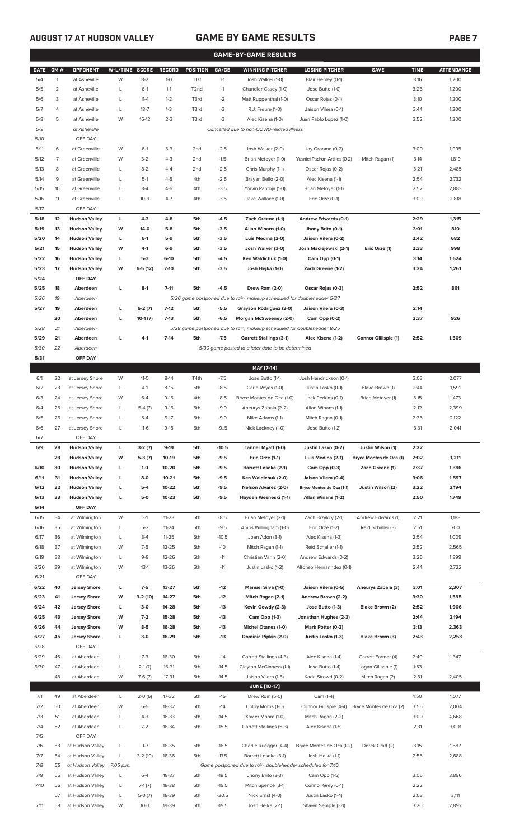## **AUGUST 17 AT HUDSON VALLEY GAME BY GAME RESULTS PAGE 7**

|             | <b>GAME-BY-GAME RESULTS</b> |                      |                |           |               |                   |         |                                                                         |                               |                             |             |                   |
|-------------|-----------------------------|----------------------|----------------|-----------|---------------|-------------------|---------|-------------------------------------------------------------------------|-------------------------------|-----------------------------|-------------|-------------------|
| <b>DATE</b> | GM#                         | <b>OPPONENT</b>      | W-L/TIME SCORE |           | <b>RECORD</b> | <b>POSITION</b>   | GA/GB   | <b>WINNING PITCHER</b>                                                  | <b>LOSING PITCHER</b>         | <b>SAVE</b>                 | <b>TIME</b> | <b>ATTENDANCE</b> |
| 5/4         | 1                           | at Asheville         | W              | $8 - 2$   | $1-0$         | T <sub>1st</sub>  | $+1$    | Josh Walker (1-0)                                                       | Blair Henley (0-1)            |                             | 3:16        | 1,200             |
| 5/5         | $\overline{2}$              | at Asheville         | L              | $6-1$     | $1 - 1$       | T <sub>2</sub> nd | $-1$    | Chandler Casey (1-0)                                                    | Jose Butto (1-0)              |                             | 3:26        | 1,200             |
| 5/6         | 3                           | at Asheville         | L              | $11 - 4$  | $1 - 2$       | T3rd              | $-2$    | Matt Ruppenthal (1-0)                                                   | Oscar Rojas (0-1)             |                             | 3:10        | 1,200             |
| 5/7         | 4                           | at Asheville         | L              | $13 - 7$  | $1 - 3$       | T3rd              | $-3$    | R.J. Freure (1-0)                                                       | Jaison Vilera (0-1)           |                             | 3:44        | 1,200             |
| 5/8         | 5                           | at Asheville         | W              | $16-12$   | $2 - 3$       | T3rd              | $-3$    | Alec Kisena (1-0)                                                       | Juan Pablo Lopez (1-0)        |                             | 3:52        | 1,200             |
| 5/9         |                             | at Asheville         |                |           |               |                   |         | Cancelled due to non-COVID-related illness                              |                               |                             |             |                   |
| 5/10        |                             | OFF DAY              |                |           |               |                   |         |                                                                         |                               |                             |             |                   |
|             |                             |                      |                |           |               |                   |         |                                                                         |                               |                             |             |                   |
| 5/11        | 6                           | at Greenville        | W              | $6-1$     | $3 - 3$       | 2 <sub>nd</sub>   | $-2.5$  | Josh Walker (2-0)                                                       | Jay Groome (0-2)              |                             | 3:00        | 1,995             |
| 5/12        | 7                           | at Greenville        | W              | $3 - 2$   | $4 - 3$       | 2 <sub>nd</sub>   | $-1.5$  | Brian Metoyer (1-0)                                                     | Yusniel Padron-Artilles (0-2) | Mitch Ragan (1)             | 3:14        | 1,819             |
| 5/13        | 8                           | at Greenville        | L              | $8 - 2$   | $4 - 4$       | 2 <sub>nd</sub>   | $-2.5$  | Chris Murphy (1-1)                                                      | Oscar Rojas (0-2)             |                             | 3:21        | 2,485             |
| 5/14        | 9                           | at Greenville        | L              | $5-1$     | $4 - 5$       | 4th               | $-2.5$  | Brayan Bello (2-0)                                                      | Alec Kisena (1-1)             |                             | 2:54        | 2,732             |
| 5/15        | 10                          | at Greenville        | L              | $8 - 4$   | $4-6$         | 4th               | $-3.5$  | Yorvin Pantoja (1-0)                                                    | Brian Metoyer (1-1)           |                             | 2:52        | 2,883             |
| 5/16        | 11                          | at Greenville        | L              | $10-9$    | $4 - 7$       | 4th               | $-3.5$  | Jake Wallace (1-0)                                                      | Eric Orze (0-1)               |                             | 3:09        | 2,818             |
| 5/17        |                             | OFF DAY              |                |           |               |                   |         |                                                                         |                               |                             |             |                   |
| 5/18        | 12                          | <b>Hudson Valley</b> | L              | $4-3$     | $4 - 8$       | 5th               | $-4.5$  | Zach Greene (1-1)                                                       | Andrew Edwards (0-1)          |                             | 2:29        | 1,315             |
| 5/19        | 13                          | <b>Hudson Valley</b> | W              | $14-0$    | $5-8$         | 5th               | $-3.5$  | Allan Winans (1-0)                                                      | Jhony Brito (0-1)             |                             | 3:01        | 810               |
| 5/20        | 14                          | <b>Hudson Valley</b> | L              | $6-1$     | $5-9$         | 5th               | $-3.5$  | Luis Medina (2-0)                                                       | Jaison Vilera (0-2)           |                             | 2:42        | 682               |
| 5/21        | 15                          | <b>Hudson Valley</b> | W              | $4-1$     | $6-9$         | 5th               | $-3.5$  | Josh Walker (3-0)                                                       | Josh Maciejewski (2-1)        | Eric Orze (1)               | 2:33        | 998               |
| 5/22        | 16                          | <b>Hudson Valley</b> | г              | $5-3$     | $6-10$        | 5th               | $-4.5$  | Ken Waldichuk (1-0)                                                     | Cam Opp (0-1)                 |                             | 3:14        | 1,624             |
| 5/23        | 17                          | <b>Hudson Valley</b> | W              | $6-5(12)$ | $7 - 10$      | 5th               | $-3.5$  | Josh Hejka (1-0)                                                        | Zach Greene (1-2)             |                             | 3:24        | 1,261             |
| 5/24        |                             | OFF DAY              |                |           |               |                   |         |                                                                         |                               |                             |             |                   |
| 5/25        | 18                          | Aberdeen             | г              | $8-1$     | $7 - 11$      | 5th               | $-4.5$  | Drew Rom (2-0)                                                          | Oscar Rojas (0-3)             |                             | 2:52        | 861               |
|             |                             |                      |                |           |               |                   |         |                                                                         |                               |                             |             |                   |
| 5/26        | 19                          | Aberdeen             |                |           |               |                   |         | 5/26 game postponed due to rain, makeup scheduled for doubleheader 5/27 |                               |                             |             |                   |
| 5/27        | 19                          | Aberdeen             | г              | $6-2(7)$  | $7-12$        | 5th               | $-5.5$  | Grayson Rodriguez (3-0)                                                 | Jaison Vilera (0-3)           |                             | 2:14        |                   |
|             | 20                          | Aberdeen             | г              | $10-1(7)$ | $7-13$        | 5th               | $-6.5$  | Morgan McSweeney (2-0)                                                  | Cam Opp (0-2)                 |                             | 2:37        | 926               |
| 5/28        | 21                          | Aberdeen             |                |           |               |                   |         | 5/28 game postponed due to rain, makeup scheduled for doubleheader 8/25 |                               |                             |             |                   |
| 5/29        | 21                          | Aberdeen             | г              | $4-1$     | $7 - 14$      | 5th               | $-7.5$  | <b>Garrett Stallings (3-1)</b>                                          | Alec Kisena (1-2)             | <b>Connor Gillispie (1)</b> | 2:52        | 1,509             |
| 5/30        | 22                          | Aberdeen             |                |           |               |                   |         | 5/30 game posted to a later date to be determined                       |                               |                             |             |                   |
| 5/31        |                             | OFF DAY              |                |           |               |                   |         |                                                                         |                               |                             |             |                   |
|             |                             |                      |                |           |               |                   |         | MAY [7-14]                                                              |                               |                             |             |                   |
| 6/1         | 22                          | at Jersey Shore      | W              | $11 - 5$  | $8-14$        | T4th              | $-7.5$  | Jose Butto (1-1)                                                        | Josh Hendrickson (0-1)        |                             | 3:03        | 2,077             |
| 6/2         | 23                          | at Jersey Shore      | L              | $4-1$     | $8 - 15$      | 5th               | $-8.5$  | Carlo Reyes (1-0)                                                       | Justin Lasko (0-1)            | Blake Brown (1)             | 2:44        | 1,591             |
| 6/3         | 24                          | at Jersey Shore      | W              | $6 - 4$   | $9 - 15$      | 4th               | $-8.5$  | Bryce Montes de Oca (1-0)                                               | Jack Perkins (0-1)            | Brian Metoyer (1)           | 3:15        | 1,473             |
| 6/4         | 25                          | at Jersey Shore      | Г              | $5-4(7)$  | $9-16$        | 5th               | $-9.0$  | Aneurys Zabala (2-2)                                                    | Allan Winans (1-1)            |                             | 2:12        | 2,399             |
| 6/5         | 26                          | at Jersey Shore      | L              | $5 - 4$   | $9-17$        | 5th               | $-9.0$  | Mike Adams (1-1)                                                        | Mitch Ragan (0-1)             |                             | 2:36        | 2,122             |
| 6/6         | 27                          | at Jersey Shore      | L              | $11-6$    | $9-18$        | 5th               | $-9.5$  | Nick Lackney (1-0)                                                      | Jose Butto (1-2)              |                             | 3:31        | 2,041             |
| 6/7         |                             | OFF DAY              |                |           |               |                   |         |                                                                         |                               |                             |             |                   |
|             |                             |                      |                |           |               |                   |         |                                                                         |                               |                             |             |                   |
| 6/9         | 28                          | <b>Hudson Valley</b> | г              | $3-2(7)$  | $9-19$        | 5th               | $-10.5$ | Tanner Myatt (1-0)                                                      | Justin Lasko (0-2)            | Justin Wilson (1)           | 2:22        |                   |
|             | 29                          | <b>Hudson Valley</b> | W              | $5-3(7)$  | $10-19$       | 5th               | $-9.5$  | Eric Orze (1-1)                                                         | Luis Medina (2-1)             | Bryce Montes de Oca (1)     | 2:02        | 1,211             |
| 6/10        | 30                          | <b>Hudson Valley</b> | L              | $1-0$     | 10-20         | 5th               | $-9.5$  | <b>Barrett Loseke (2-1)</b>                                             | Cam Opp (0-3)                 | Zach Greene (1)             | 2:37        | 1,396             |
| 6/11        | 31                          | <b>Hudson Valley</b> | L              | $8-0$     | $10 - 21$     | 5th               | $-9.5$  | Ken Waldichuk (2-0)                                                     | Jaison Vilera (0-4)           |                             | 3:06        | 1,597             |
| 6/12        | 32                          | <b>Hudson Valley</b> | г              | $5-4$     | $10 - 22$     | 5th               | $-9.5$  | Nelson Alvarez (2-0)                                                    | Bryce Montes de Oca (1-1)     | Justin Wilson (2)           | 3:22        | 2,194             |
| 6/13        | 33                          | <b>Hudson Valley</b> | г              | $5-0$     | $10 - 23$     | 5th               | $-9.5$  | Hayden Wesneski (1-1)                                                   | Allan Winans (1-2)            |                             | 2:50        | 1,749             |
| 6/14        |                             | OFF DAY              |                |           |               |                   |         |                                                                         |                               |                             |             |                   |
| 6/15        | 34                          | at Wilmington        | W              | $3-1$     | $11 - 23$     | 5th               | $-8.5$  | Brian Metoyer (2-1)                                                     | Zach Brzykcy (2-1)            | Andrew Edwards (1)          | 2:21        | 1,188             |
| 6/16        | 35                          | at Wilmington        | L              | $5 - 2$   | $11 - 24$     | 5th               | $-9.5$  | Amos Willingham (1-0)                                                   | Eric Orze (1-2)               | Reid Schaller (3)           | 2:51        | 700               |
| 6/17        | 36                          | at Wilmington        | L              | $8 - 4$   | $11 - 25$     | 5th               | $-10.5$ | Joan Adon (3-1)                                                         | Alec Kisena (1-3)             |                             | 2:54        | 1,009             |
| 6/18        | 37                          | at Wilmington        | W              | $7-5$     | $12 - 25$     | 5th               | $-10$   | Mitch Ragan (1-1)                                                       | Reid Schaller (1-1)           |                             | 2:52        | 2,565             |
| 6/19        | 38                          | at Wilmington        | L              | $9 - 8$   | 12-26         | 5th               | $-11$   | Christian Vann (2-0)                                                    | Andrew Edwards (0-2)          |                             | 3:26        | 1,899             |
| 6/20        | 39                          | at Wilmington        | W              | $13-1$    | 13-26         | 5th               | $-11$   | Justin Lasko (1-2)                                                      | Alfonso Hernanndez (0-1)      |                             | 2:44        | 2,722             |
| 6/21        |                             | OFF DAY              |                |           |               |                   |         |                                                                         |                               |                             |             |                   |
| 6/22        | 40                          | <b>Jersey Shore</b>  | г              | $7-5$     | 13-27         | 5th               | $-12$   | Manuel Silva (1-0)                                                      | Jaison Vilera (0-5)           | Aneurys Zabala (3)          | 3:01        | 2,307             |
| 6/23        | 41                          |                      | W              | $3-2(10)$ | 14-27         | 5th               | $-12$   |                                                                         |                               |                             | 3:30        | 1,595             |
|             |                             | <b>Jersey Shore</b>  |                |           |               |                   |         | Mitch Ragan (2-1)                                                       | Andrew Brown (2-2)            |                             |             |                   |
| 6/24        | 42                          | <b>Jersey Shore</b>  | L              | $3-0$     | 14-28         | 5th               | $-13$   | Kevin Gowdy (2-3)                                                       | Jose Butto (1-3)              | Blake Brown (2)             | 2:52        | 1,906             |
| 6/25        | 43                          | <b>Jersey Shore</b>  | W              | $7-2$     | 15-28         | 5th               | $-13$   | Cam Opp (1-3)                                                           | Jonathan Hughes (2-3)         |                             | 2:44        | 2,194             |
| 6/26        | 44                          | <b>Jersey Shore</b>  | W              | $8-5$     | 16-28         | 5th               | $-13$   | <b>Michel Otanez (1-0)</b>                                              | Mark Potter (0-2)             |                             | 3:13        | 2,363             |
| 6/27        | 45                          | <b>Jersey Shore</b>  | г              | $3-0$     | 16-29         | 5th               | $-13$   | Dominic Pipkin (2-0)                                                    | Justin Lasko (1-3)            | Blake Brown (3)             | 2:43        | 2,253             |
| 6/28        |                             | OFF DAY              |                |           |               |                   |         |                                                                         |                               |                             |             |                   |
| 6/29        | 46                          | at Aberdeen          | L              | $7-3$     | 16-30         | 5th               | $-14$   | Garrett Stallings (4-3)                                                 | Alec Kisena (1-4)             | Garrett Farmer (4)          | 2:40        | 1,347             |
| 6/30        | 47                          | at Aberdeen          | L              | $2-1(7)$  | 16-31         | 5th               | $-14.5$ | Clayton McGinness (1-1)                                                 | Jose Butto (1-4)              | Logan Gillaspie (1)         | 1:53        |                   |
|             | 48                          | at Aberdeen          | W              | $7-6(7)$  | $17 - 31$     | 5th               | $-14.5$ | Jaison Vilera (1-5)                                                     | Kade Strowd (0-2)             | Mitch Ragan (2)             | 2:31        | 2,405             |
|             |                             |                      |                |           |               |                   |         | <b>JUNE [10-17]</b>                                                     |                               |                             |             |                   |
| 7/1         | 49                          | at Aberdeen          | L              | $2-0(6)$  | 17-32         | 5th               | $-15$   | Drew Rom (5-0)                                                          | Cam (1-4)                     |                             | 1:50        | 1,077             |
| 7/2         | 50                          | at Aberdeen          | W              | $6 - 5$   | 18-32         | 5th               | $-14$   | Colby Morris (1-0)                                                      | Connor Gillispie (4-4)        | Bryce Montes de Oca (2)     | 3:56        | 2,004             |
| 7/3         | 51                          | at Aberdeen          | Г              | $4 - 3$   | 18-33         | 5th               | $-14.5$ | Xavier Moore (1-0)                                                      | Mitch Ragan (2-2)             |                             | 3:00        | 4,668             |
| 7/4         | 52                          | at Aberdeen          | L              | $7 - 2$   | 18-34         | 5th               | $-15.5$ | Garrett Stallings (5-3)                                                 | Alec Kisena (1-5)             |                             | 2:31        | 3,001             |
| 7/5         |                             | OFF DAY              |                |           |               |                   |         |                                                                         |                               |                             |             |                   |
| 7/6         | 53                          | at Hudson Valley     | L              | $9 - 7$   | 18-35         | 5th               | $-16.5$ | Charlie Ruegger (4-4)                                                   | Bryce Montes de Oca (1-2)     | Derek Craft (2)             | 3:15        | 1,687             |
|             |                             |                      |                |           |               |                   |         |                                                                         |                               |                             |             |                   |
| 7/7         | 54                          | at Hudson Valley     | L              | $3-2(10)$ | 18-36         | 5th               | $-17.5$ | Barrett Loseke (3-1)                                                    | Josh Hejka (1-1)              |                             | 2:55        | 2,688             |
| 7/8         | 55                          | at Hudson Valley     | 7:05 p.m.      |           |               |                   |         | Game postponed due to rain, doubleheader scheduled for 7/10             |                               |                             |             |                   |
| 7/9         | 55                          | at Hudson Valley     | L              | $6 - 4$   | 18-37         | 5th               | $-18.5$ | Jhony Brito (3-3)                                                       | Cam Opp (1-5)                 |                             | 3:06        | 3,896             |
| 7/10        | 56                          | at Hudson Valley     | L              | $7-1(7)$  | 18-38         | 5th               | $-19.5$ | Mitch Spence (3-1)                                                      | Connor Grey (0-1)             |                             | 2:22        |                   |

57 at Hudson Valley L 5-0 (7) 18-39 5th -20.5 Nick Ernst (4-0) Justin Lasko (1-4) 2:03 3,111 7/11 58 at Hudson Valley W 10-3 19-39 5th -19.5 Josh Hejka (2-1) Shawn Semple (3-1) 3:20 2,892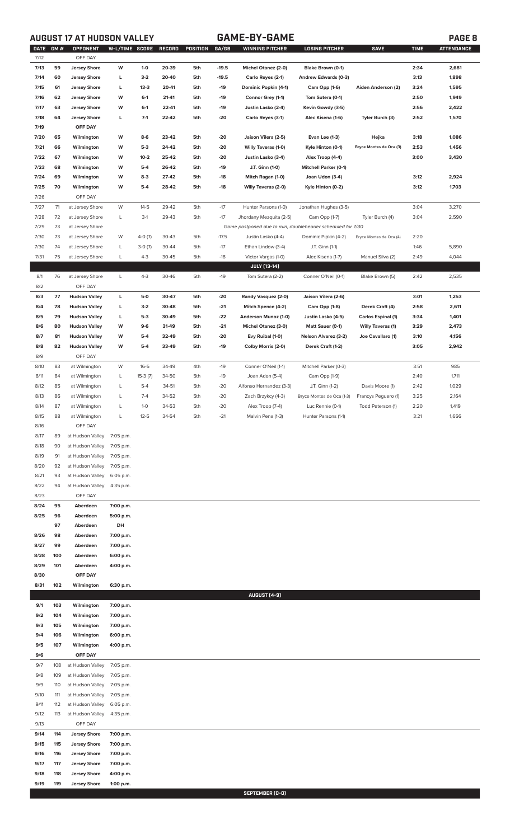# **AUGUST 17 AT HUDSON VALLEY GAME-BY-GAME PAGE 8**

| <b>DATE</b>  | <b>GM#</b> | OPPONENT                   | W-L/TIME SCORE         |           | <b>RECORD</b> | POSITION | GA/GB   | <b>WINNING PITCHER</b>                                      | <b>LOSING PITCHER</b>        | <b>SAVE</b>              | <b>TIME</b> | <b>ATTENDANCE</b> |
|--------------|------------|----------------------------|------------------------|-----------|---------------|----------|---------|-------------------------------------------------------------|------------------------------|--------------------------|-------------|-------------------|
| 7/12         |            | OFF DAY                    |                        |           |               |          |         |                                                             |                              |                          |             |                   |
| 7/13         | 59         | <b>Jersey Shore</b>        | W                      | $1-0$     | 20-39         | 5th      | $-19.5$ | <b>Michel Otanez (2-0)</b>                                  | Blake Brown (0-1)            |                          | 2:34        | 2,681             |
| 7/14         | 60         | <b>Jersey Shore</b>        | L                      | $3-2$     | 20-40         | 5th      | $-19.5$ | Carlo Reyes (2-1)                                           | Andrew Edwards (0-3)         |                          | 3:13        | 1,898             |
| 7/15         | 61         | <b>Jersey Shore</b>        | L                      | $13 - 3$  | 20-41         | 5th      | $-19$   | Dominic Popkin (4-1)                                        | Cam Opp (1-6)                | Aiden Anderson (2)       | 3:24        | 1,595             |
| 7/16         | 62         | <b>Jersey Shore</b>        | W                      | $6-1$     | 21-41         | 5th      | $-19$   | Connor Grey (1-1)                                           | Tom Sutera (0-1)             |                          | 2:50        | 1,949             |
| 7/17         | 63         | <b>Jersey Shore</b>        | W                      | $6-1$     | 22-41         | 5th      | $-19$   | Justin Lasko (2-4)                                          | Kevin Gowdy (3-5)            |                          | 2:56        | 2,422             |
| 7/18         | 64         | <b>Jersey Shore</b>        | L                      | $7-1$     | 22-42         | 5th      | $-20$   | Carlo Reyes (3-1)                                           | Alec Kisena (1-6)            | Tyler Burch (3)          | 2:52        | 1,570             |
| 7/19         |            | OFF DAY                    |                        |           |               |          |         |                                                             |                              |                          |             |                   |
| 7/20         | 65         | Wilmington                 | W                      | 8-6       | 23-42         | 5th      | -20     | Jaison Vilera (2-5)                                         | Evan Lee (1-3)               | Hejka                    | 3:18        | 1,086             |
| 7/21         | 66         | Wilmington                 | W                      | $5-3$     | 24-42         | 5th      | -20     | Willy Taveras (1-0)                                         | Kyle Hinton (0-1)            | Bryce Montes de Oca (3)  | 2:53        | 1,456             |
| 7/22         | 67         | Wilmington                 | W                      | $10 - 2$  | 25-42         | 5th      | $-20$   | Justin Lasko (3-4)                                          | Alex Troop (4-4)             |                          | 3:00        | 3,430             |
| 7/23         | 68         | Wilmington                 | W                      | $5-4$     | 26-42         | 5th      | $-19$   | J.T. Ginn (1-0)                                             | <b>Mitchell Parker (0-1)</b> |                          |             |                   |
| 7/24         | 69         | Wilmington                 | W                      | $8-3$     | 27-42         | 5th      | $-18$   | Mitch Ragan (1-0)                                           | Joan Udon (3-4)              |                          | 3:12        | 2,924             |
| 7/25         | 70         | Wilmington                 | W                      | $5-4$     | 28-42         | 5th      | $-18$   | <b>Willy Taveras (2-0)</b>                                  | Kyle Hinton (0-2)            |                          | 3:12        | 1,703             |
| 7/26         |            | OFF DAY                    |                        |           |               |          |         |                                                             |                              |                          |             |                   |
|              |            |                            |                        |           |               |          |         |                                                             |                              |                          |             |                   |
| 7/27         | 71         | at Jersey Shore            | W                      | $14 - 5$  | 29-42         | 5th      | $-17$   | Hunter Parsons (1-0)                                        | Jonathan Hughes (3-5)        |                          | 3:04        | 3,270             |
| 7/28         | 72         | at Jersey Shore            | L                      | $3-1$     | 29-43         | 5th      | $-17$   | Jhordany Mezquita (2-5)                                     | Cam Opp (1-7)                | Tyler Burch (4)          | 3:04        | 2,590             |
| 7/29         | 73         | at Jersey Shore            |                        |           |               |          |         | Game postponed due to rain, doubleheader scheduled for 7/30 |                              |                          |             |                   |
| 7/30         | 73         | at Jersey Shore            | W                      | $4-0(7)$  | 30-43         | 5th      | $-17.5$ | Justin Lasko (4-4)                                          | Dominic Pipkin (4-2)         | Bryce Montes de Oca (4)  | 2:20        |                   |
| 7/30         | 74         | at Jersey Shore            | L                      | $3-0(7)$  | 30-44         | 5th      | $-17$   | Ethan Lindow (3-4)                                          | J.T. Ginn (1-1)              |                          | 1:46        | 5,890             |
| 7/31         | 75         | at Jersey Shore            | L                      | $4 - 3$   | 30-45         | 5th      | $-18$   | Victor Vargas (1-0)                                         | Alec Kisena (1-7)            | Manuel Silva (2)         | 2:49        | 4,044             |
|              |            |                            |                        |           |               |          |         | <b>JULY</b> [13-14]                                         |                              |                          |             |                   |
| 8/1          | 76         | at Jersey Shore            | L                      | $4 - 3$   | 30-46         | 5th      | $-19$   | Tom Sutera (2-2)                                            | Conner O'Neil (0-1)          | Blake Brown (5)          | 2:42        | 2,535             |
| 8/2          |            | OFF DAY                    |                        |           |               |          |         |                                                             |                              |                          |             |                   |
| 8/3          | 77         | <b>Hudson Valley</b>       | Г                      | 5-0       | 30-47         | 5th      | $-20$   | Randy Vasquez (2-0)                                         | Jaison Vilera (2-6)          |                          | 3:01        | 1,253             |
| 8/4          | 78         | <b>Hudson Valley</b>       | L                      | $3-2$     | 30-48         | 5th      | $-21$   | Mitch Spence (4-2)                                          | Cam Opp (1-8)                | Derek Craft (4)          | 2:58        | 2,611             |
| 8/5          | 79         | <b>Hudson Valley</b>       | L                      | $5-3$     | 30-49         | 5th      | $-22$   | Anderson Munoz (1-0)                                        | Justin Lasko (4-5)           | Carlos Espinal (1)       | 3:34        | 1,401             |
| 8/6          | 80         | <b>Hudson Valley</b>       | W                      | 9-6       | 31-49         | 5th      | $-21$   | Michel Otanez (3-0)                                         | Matt Sauer (0-1)             | <b>Willy Taveras (1)</b> | 3:29        | 2,473             |
| 8/7          | 81         | <b>Hudson Valley</b>       | W                      | $5-4$     | 32-49         | 5th      | -20     | Evy Ruibal (1-0)                                            | <b>Nelson Alvarez (3-2)</b>  | Joe Cavallaro (1)        | 3:10        | 4,156             |
| 8/8          | 82         | <b>Hudson Valley</b>       | W                      | $5-4$     | 33-49         | 5th      | $-19$   | Colby Morris (2-0)                                          | Derek Craft (1-2)            |                          | 3:05        | 2,942             |
| 8/9          |            | OFF DAY                    |                        |           |               |          |         |                                                             |                              |                          |             |                   |
| 8/10         | 83         | at Wilmington              | W                      | $16 - 5$  | 34-49         | 4th      | $-19$   | Conner O'Neil (1-1)                                         | Mitchell Parker (0-3)        |                          | 3:51        | 985               |
| 8/11         | 84         | at Wilmington              | L                      | $15-3(7)$ | 34-50         | 5th      | $-19$   | Joan Adon (5-4)                                             | Cam Opp (1-9)                |                          | 2:40        | 1,711             |
| 8/12         | 85         | at Wilmington              | L                      | $5 - 4$   | 34-51         | 5th      | $-20$   | Alfonso Hernandez (3-3)                                     | J.T. Ginn (1-2)              | Davis Moore (1)          | 2:42        | 1,029             |
| 8/13         | 86         | at Wilmington              | L                      | $7 - 4$   | 34-52         | 5th      | $-20$   | Zach Brzykcy (4-3)                                          | Bryce Montes de Oca (1-3)    | Francys Peguero (1)      | 3:25        | 2,164             |
| 8/14         | 87         | at Wilmington              | L                      | $1 - 0$   | 34-53         | 5th      | $-20$   | Alex Troop (7-4)                                            | Luc Rennie (0-1)             | Todd Peterson (1)        | 2:20        | 1,419             |
| 8/15         | 88         | at Wilmington              | L                      | $12 - 5$  | 34-54         | 5th      | $-21$   | Malvin Pena (1-3)                                           | Hunter Parsons (1-1)         |                          | 3:21        | 1,666             |
| 8/16         |            | OFF DAY                    |                        |           |               |          |         |                                                             |                              |                          |             |                   |
| 8/17         | 89         | at Hudson Valley           | 7:05 p.m.              |           |               |          |         |                                                             |                              |                          |             |                   |
| 8/18         | 90         | at Hudson Valley           | 7:05 p.m.              |           |               |          |         |                                                             |                              |                          |             |                   |
| 8/19         | 91         | at Hudson Valley           | 7:05 p.m.              |           |               |          |         |                                                             |                              |                          |             |                   |
| 8/20         | 92         | at Hudson Valley 7:05 p.m. |                        |           |               |          |         |                                                             |                              |                          |             |                   |
| 8/21         | 93         | at Hudson Valley 6:05 p.m. |                        |           |               |          |         |                                                             |                              |                          |             |                   |
| 8/22         | 94         | at Hudson Valley           | 4:35 p.m.              |           |               |          |         |                                                             |                              |                          |             |                   |
| 8/23         |            | OFF DAY                    |                        |           |               |          |         |                                                             |                              |                          |             |                   |
| 8/24         | 95         | Aberdeen                   | 7:00 p.m.              |           |               |          |         |                                                             |                              |                          |             |                   |
| 8/25         | 96         | Aberdeen                   | 5:00 p.m.              |           |               |          |         |                                                             |                              |                          |             |                   |
|              | 97         | Aberdeen                   | DH                     |           |               |          |         |                                                             |                              |                          |             |                   |
| 8/26         | 98         | Aberdeen                   | 7:00 p.m.              |           |               |          |         |                                                             |                              |                          |             |                   |
| 8/27         | 99         | Aberdeen                   | 7:00 p.m.              |           |               |          |         |                                                             |                              |                          |             |                   |
|              |            |                            |                        |           |               |          |         |                                                             |                              |                          |             |                   |
| 8/28<br>8/29 | 100<br>101 | Aberdeen<br>Aberdeen       | 6:00 p.m.<br>4:00 p.m. |           |               |          |         |                                                             |                              |                          |             |                   |
| 8/30         |            | OFF DAY                    |                        |           |               |          |         |                                                             |                              |                          |             |                   |
| 8/31         | 102        | Wilmington                 | 6:30 p.m.              |           |               |          |         |                                                             |                              |                          |             |                   |
|              |            |                            |                        |           |               |          |         | AUGUST [4-9]                                                |                              |                          |             |                   |
| 9/1          | 103        | Wilmington                 | 7:00 p.m.              |           |               |          |         |                                                             |                              |                          |             |                   |
|              | 104        |                            |                        |           |               |          |         |                                                             |                              |                          |             |                   |
| 9/2          |            | Wilmington                 | 7:00 p.m.              |           |               |          |         |                                                             |                              |                          |             |                   |
| 9/3          | 105        | Wilmington                 | 7:00 p.m.              |           |               |          |         |                                                             |                              |                          |             |                   |
| 9/4          | 106        | Wilmington                 | 6:00 p.m.              |           |               |          |         |                                                             |                              |                          |             |                   |
| 9/5          | 107        | Wilmington                 | 4:00 p.m.              |           |               |          |         |                                                             |                              |                          |             |                   |
| 9/6          |            | OFF DAY                    |                        |           |               |          |         |                                                             |                              |                          |             |                   |
| 9/7          | 108        | at Hudson Valley           | 7:05 p.m.              |           |               |          |         |                                                             |                              |                          |             |                   |
| 9/8          | 109        | at Hudson Valley           | 7:05 p.m.              |           |               |          |         |                                                             |                              |                          |             |                   |
| 9/9          | 110        | at Hudson Valley           | 7:05 p.m.              |           |               |          |         |                                                             |                              |                          |             |                   |
| 9/10         | 111        | at Hudson Valley           | 7:05 p.m.              |           |               |          |         |                                                             |                              |                          |             |                   |
| 9/11         | 112        | at Hudson Valley           | 6:05 p.m.              |           |               |          |         |                                                             |                              |                          |             |                   |
| 9/12         | 113        | at Hudson Valley           | 4:35 p.m.              |           |               |          |         |                                                             |                              |                          |             |                   |
| 9/13         |            | OFF DAY                    |                        |           |               |          |         |                                                             |                              |                          |             |                   |
| 9/14         | 114        | <b>Jersey Shore</b>        | 7:00 p.m.              |           |               |          |         |                                                             |                              |                          |             |                   |
| 9/15         | 115        | <b>Jersey Shore</b>        | 7:00 p.m.              |           |               |          |         |                                                             |                              |                          |             |                   |
| 9/16         | 116        | <b>Jersey Shore</b>        | 7:00 p.m.              |           |               |          |         |                                                             |                              |                          |             |                   |
| 9/17         | 117        | <b>Jersey Shore</b>        | 7:00 p.m.              |           |               |          |         |                                                             |                              |                          |             |                   |
| 9/18         | 118        | <b>Jersey Shore</b>        | 4:00 p.m.              |           |               |          |         |                                                             |                              |                          |             |                   |
| 9/19         | 119        | <b>Jersey Shore</b>        | 1:00 p.m.              |           |               |          |         |                                                             |                              |                          |             |                   |
|              |            |                            |                        |           |               |          |         | SEPTEMBER [0-0]                                             |                              |                          |             |                   |